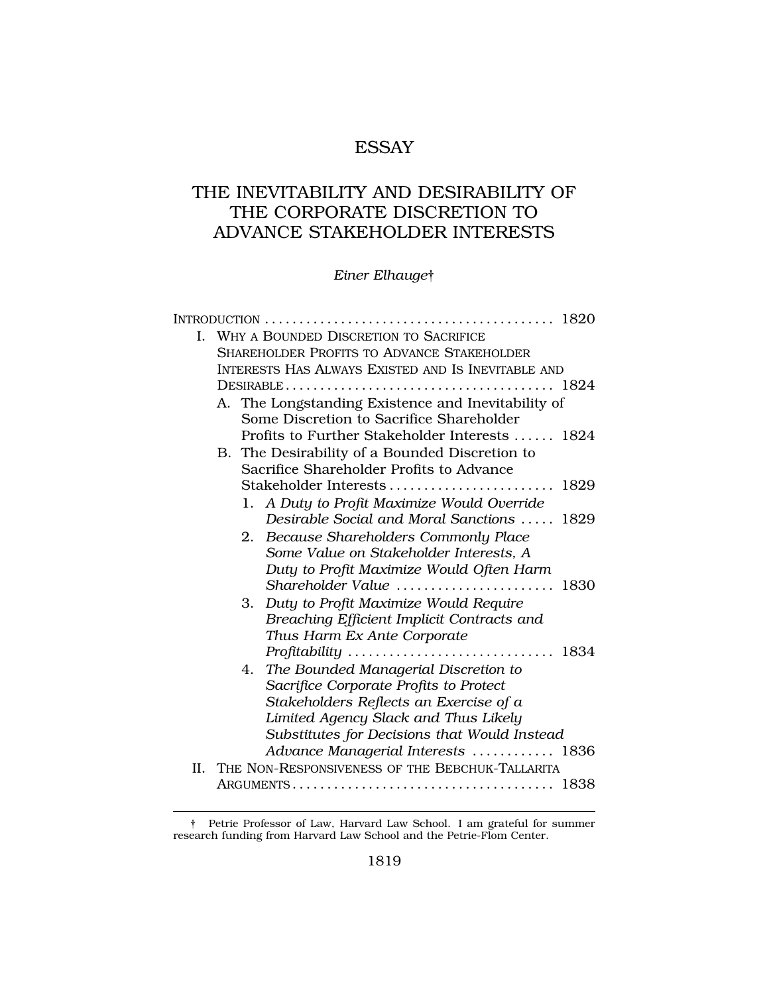# ESSAY

# THE INEVITABILITY AND DESIRABILITY OF THE CORPORATE DISCRETION TO ADVANCE STAKEHOLDER INTERESTS

#### *Einer Elhauge*†

|              |                                                    |    | INTRODUCTION $\ldots \ldots \ldots \ldots \ldots \ldots \ldots \ldots \ldots \ldots \ldots \ldots$ 1820 |  |  |
|--------------|----------------------------------------------------|----|---------------------------------------------------------------------------------------------------------|--|--|
| $\mathbf{L}$ |                                                    |    | WHY A BOUNDED DISCRETION TO SACRIFICE                                                                   |  |  |
|              |                                                    |    | SHAREHOLDER PROFITS TO ADVANCE STAKEHOLDER                                                              |  |  |
|              | INTERESTS HAS ALWAYS EXISTED AND IS INEVITABLE AND |    |                                                                                                         |  |  |
|              | 1824                                               |    |                                                                                                         |  |  |
|              |                                                    |    | A. The Longstanding Existence and Inevitability of                                                      |  |  |
|              |                                                    |    | Some Discretion to Sacrifice Shareholder                                                                |  |  |
|              |                                                    |    | Profits to Further Stakeholder Interests  1824                                                          |  |  |
|              |                                                    |    | B. The Desirability of a Bounded Discretion to                                                          |  |  |
|              |                                                    |    | Sacrifice Shareholder Profits to Advance                                                                |  |  |
|              |                                                    |    |                                                                                                         |  |  |
|              |                                                    | 1. | A Duty to Profit Maximize Would Override                                                                |  |  |
|              |                                                    |    | Desirable Social and Moral Sanctions  1829                                                              |  |  |
|              |                                                    | 2. | Because Shareholders Commonly Place                                                                     |  |  |
|              |                                                    |    | Some Value on Stakeholder Interests, A                                                                  |  |  |
|              |                                                    |    | Duty to Profit Maximize Would Often Harm                                                                |  |  |
|              |                                                    |    | Shareholder Value<br>1830                                                                               |  |  |
|              |                                                    | 3. | Duty to Profit Maximize Would Require                                                                   |  |  |
|              |                                                    |    | Breaching Efficient Implicit Contracts and                                                              |  |  |
|              |                                                    |    | Thus Harm Ex Ante Corporate                                                                             |  |  |
|              |                                                    |    | 1834<br>Profitability                                                                                   |  |  |
|              |                                                    |    | 4. The Bounded Managerial Discretion to                                                                 |  |  |
|              |                                                    |    | Sacrifice Corporate Profits to Protect                                                                  |  |  |
|              |                                                    |    | Stakeholders Reflects an Exercise of a                                                                  |  |  |
|              |                                                    |    | Limited Agency Slack and Thus Likely                                                                    |  |  |
|              |                                                    |    | Substitutes for Decisions that Would Instead                                                            |  |  |
|              |                                                    |    | Advance Managerial Interests  1836                                                                      |  |  |
| Η.           |                                                    |    | THE NON-RESPONSIVENESS OF THE BEBCHUK-TALLARITA                                                         |  |  |
|              |                                                    |    |                                                                                                         |  |  |

<sup>†</sup> Petrie Professor of Law, Harvard Law School. I am grateful for summer research funding from Harvard Law School and the Petrie-Flom Center.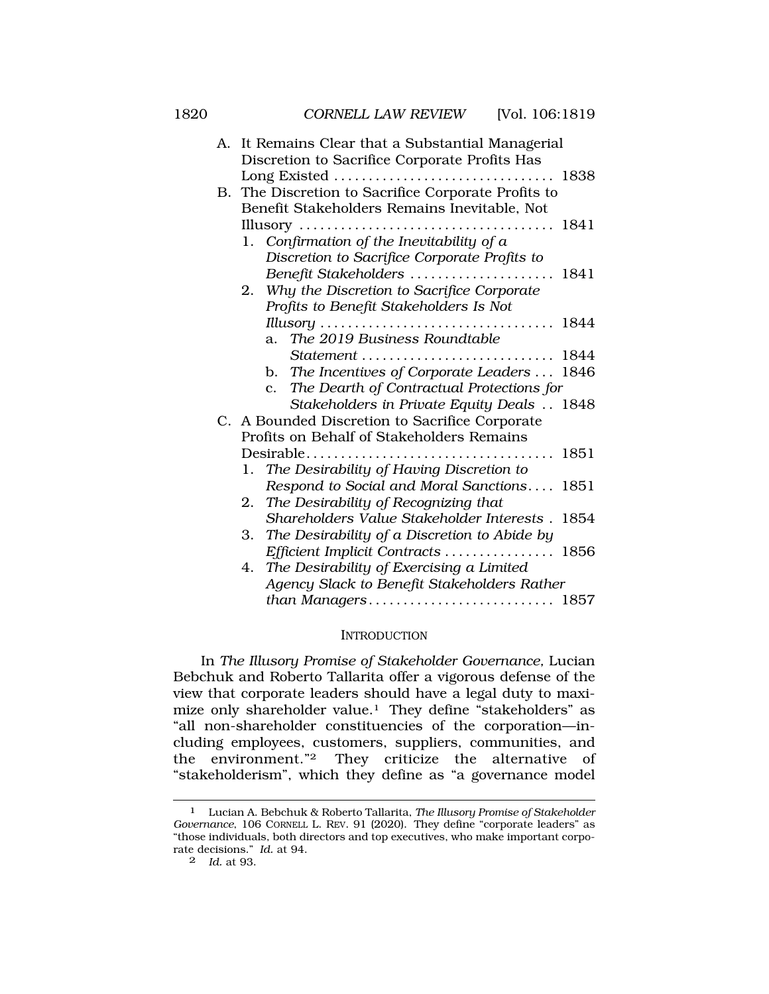| A. |                                                | It Remains Clear that a Substantial Managerial<br>Discretion to Sacrifice Corporate Profits Has    |  |  |  |
|----|------------------------------------------------|----------------------------------------------------------------------------------------------------|--|--|--|
|    |                                                | Long Existed<br>1838                                                                               |  |  |  |
| В. |                                                | The Discretion to Sacrifice Corporate Profits to                                                   |  |  |  |
|    |                                                | Benefit Stakeholders Remains Inevitable, Not                                                       |  |  |  |
|    |                                                |                                                                                                    |  |  |  |
|    | 1.                                             | Confirmation of the Inevitability of $a$                                                           |  |  |  |
|    |                                                |                                                                                                    |  |  |  |
|    |                                                | Discretion to Sacrifice Corporate Profits to<br>Benefit Stakeholders<br>1841                       |  |  |  |
|    |                                                |                                                                                                    |  |  |  |
|    | 2.                                             | Why the Discretion to Sacrifice Corporate                                                          |  |  |  |
|    |                                                | Profits to Benefit Stakeholders Is Not                                                             |  |  |  |
|    |                                                | 1844<br>$\textit{Illustr} \dots \dots \dots \dots \dots \dots \dots \dots \dots \dots \dots \dots$ |  |  |  |
|    |                                                | The 2019 Business Roundtable<br>a.                                                                 |  |  |  |
|    |                                                | Statement<br>1844                                                                                  |  |  |  |
|    |                                                | b. The Incentives of Corporate Leaders<br>1846                                                     |  |  |  |
|    |                                                | c. The Dearth of Contractual Protections for                                                       |  |  |  |
|    |                                                | Stakeholders in Private Equity Deals  1848                                                         |  |  |  |
|    | C. A Bounded Discretion to Sacrifice Corporate |                                                                                                    |  |  |  |
|    |                                                | Profits on Behalf of Stakeholders Remains                                                          |  |  |  |
|    |                                                | $Desirable \ldots \ldots \ldots \ldots \ldots \ldots \ldots \ldots \ldots \ldots$<br>1851          |  |  |  |
|    | 1.                                             | The Desirability of Having Discretion to                                                           |  |  |  |
|    |                                                | Respond to Social and Moral Sanctions<br>1851                                                      |  |  |  |
|    | 2.                                             | The Desirability of Recognizing that                                                               |  |  |  |
|    |                                                | Shareholders Value Stakeholder Interests.<br>1854                                                  |  |  |  |
|    | 3.                                             | The Desirability of a Discretion to Abide by                                                       |  |  |  |
|    |                                                | Efficient Implicit Contracts  1856                                                                 |  |  |  |
|    | 4.                                             | The Desirability of Exercising a Limited                                                           |  |  |  |
|    |                                                | Agency Slack to Benefit Stakeholders Rather                                                        |  |  |  |
|    |                                                | than Managers 1857                                                                                 |  |  |  |

#### **INTRODUCTION**

In *The Illusory Promise of Stakeholder Governance,* Lucian Bebchuk and Roberto Tallarita offer a vigorous defense of the view that corporate leaders should have a legal duty to maximize only shareholder value.1 They define "stakeholders" as "all non-shareholder constituencies of the corporation—including employees, customers, suppliers, communities, and the environment."2 They criticize the alternative of "stakeholderism", which they define as "a governance model

<sup>1</sup> Lucian A. Bebchuk & Roberto Tallarita, *The Illusory Promise of Stakeholder Governance*, 106 CORNELL L. REV. 91 (2020). They define "corporate leaders" as "those individuals, both directors and top executives, who make important corporate decisions." *Id.* at 94.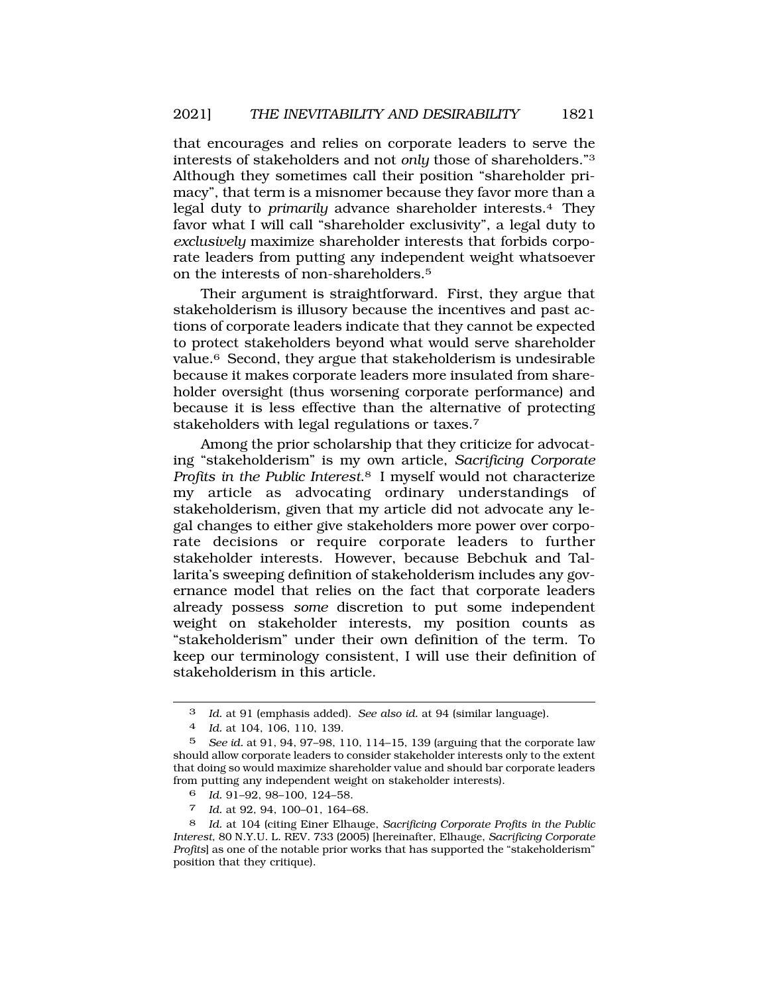that encourages and relies on corporate leaders to serve the interests of stakeholders and not *only* those of shareholders."3 Although they sometimes call their position "shareholder primacy", that term is a misnomer because they favor more than a legal duty to *primarily* advance shareholder interests.4 They favor what I will call "shareholder exclusivity", a legal duty to *exclusively* maximize shareholder interests that forbids corporate leaders from putting any independent weight whatsoever on the interests of non-shareholders.5

Their argument is straightforward. First, they argue that stakeholderism is illusory because the incentives and past actions of corporate leaders indicate that they cannot be expected to protect stakeholders beyond what would serve shareholder value.6 Second, they argue that stakeholderism is undesirable because it makes corporate leaders more insulated from shareholder oversight (thus worsening corporate performance) and because it is less effective than the alternative of protecting stakeholders with legal regulations or taxes.7

Among the prior scholarship that they criticize for advocating "stakeholderism" is my own article, *Sacrificing Corporate Profits in the Public Interest*.8 I myself would not characterize my article as advocating ordinary understandings of stakeholderism, given that my article did not advocate any legal changes to either give stakeholders more power over corporate decisions or require corporate leaders to further stakeholder interests. However, because Bebchuk and Tallarita's sweeping definition of stakeholderism includes any governance model that relies on the fact that corporate leaders already possess *some* discretion to put some independent weight on stakeholder interests, my position counts as "stakeholderism" under their own definition of the term. To keep our terminology consistent, I will use their definition of stakeholderism in this article.

7 *Id.* at 92, 94, 100–01, 164–68.

<sup>3</sup> *Id.* at 91 (emphasis added). *See also id.* at 94 (similar language).

<sup>4</sup> *Id.* at 104, 106, 110, 139.

<sup>5</sup> *See id.* at 91, 94, 97–98, 110, 114–15, 139 (arguing that the corporate law should allow corporate leaders to consider stakeholder interests only to the extent that doing so would maximize shareholder value and should bar corporate leaders from putting any independent weight on stakeholder interests).

<sup>6</sup> *Id.* 91–92, 98–100, 124–58.

<sup>8</sup> *Id.* at 104 (citing Einer Elhauge, *Sacrificing Corporate Profits in the Public Interest*, 80 N.Y.U. L. REV. 733 (2005) [hereinafter, Elhauge, *Sacrificing Corporate Profits*] as one of the notable prior works that has supported the "stakeholderism" position that they critique).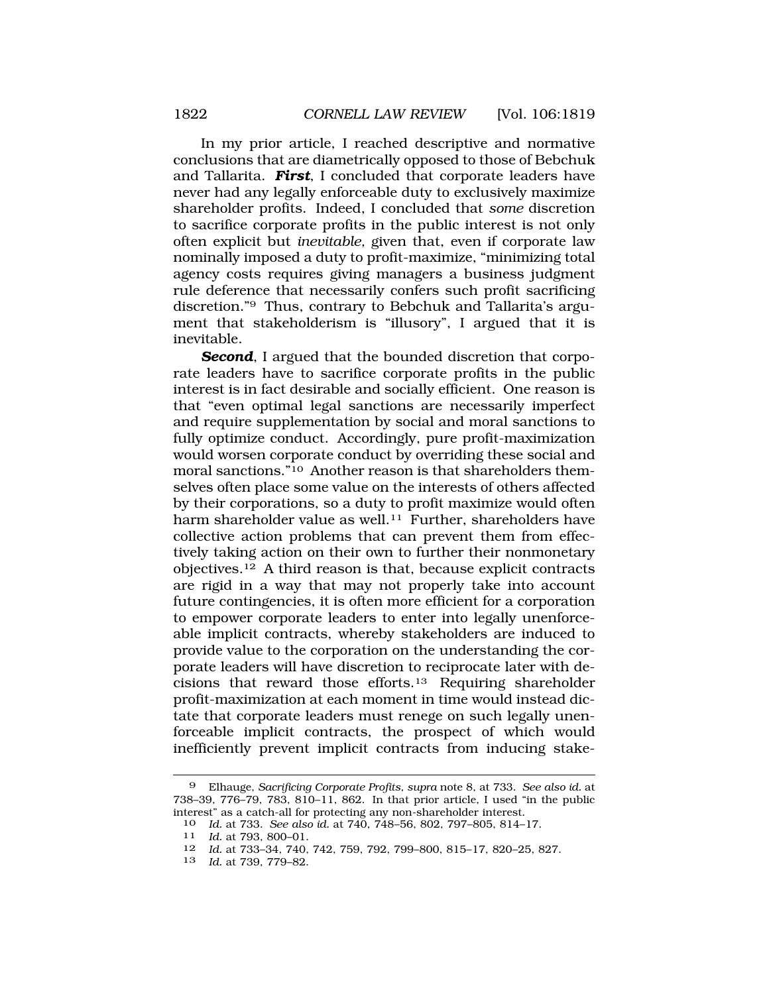In my prior article, I reached descriptive and normative conclusions that are diametrically opposed to those of Bebchuk and Tallarita. *First*, I concluded that corporate leaders have never had any legally enforceable duty to exclusively maximize shareholder profits. Indeed, I concluded that *some* discretion to sacrifice corporate profits in the public interest is not only often explicit but *inevitable,* given that, even if corporate law nominally imposed a duty to profit-maximize, "minimizing total agency costs requires giving managers a business judgment rule deference that necessarily confers such profit sacrificing discretion."9 Thus, contrary to Bebchuk and Tallarita's argument that stakeholderism is "illusory", I argued that it is inevitable.

**Second**, I argued that the bounded discretion that corporate leaders have to sacrifice corporate profits in the public interest is in fact desirable and socially efficient. One reason is that "even optimal legal sanctions are necessarily imperfect and require supplementation by social and moral sanctions to fully optimize conduct. Accordingly, pure profit-maximization would worsen corporate conduct by overriding these social and moral sanctions."10 Another reason is that shareholders themselves often place some value on the interests of others affected by their corporations, so a duty to profit maximize would often harm shareholder value as well.<sup>11</sup> Further, shareholders have collective action problems that can prevent them from effectively taking action on their own to further their nonmonetary objectives.<sup>12</sup> A third reason is that, because explicit contracts are rigid in a way that may not properly take into account future contingencies, it is often more efficient for a corporation to empower corporate leaders to enter into legally unenforceable implicit contracts, whereby stakeholders are induced to provide value to the corporation on the understanding the corporate leaders will have discretion to reciprocate later with decisions that reward those [efforts.13](https://efforts.13) Requiring shareholder profit-maximization at each moment in time would instead dictate that corporate leaders must renege on such legally unenforceable implicit contracts, the prospect of which would inefficiently prevent implicit contracts from inducing stake-

<sup>9</sup> Elhauge, *Sacrificing Corporate Profits, supra* note 8, at 733. *See also id.* at 738–39, 776–79, 783, 810–11, 862. In that prior article, I used "in the public interest" as a catch-all for protecting any non-shareholder interest.

<sup>10</sup>*Id.* at 733. *See also id.* at 740, 748–56, 802, 797–805, 814–17. 11 *Id.* at 793, 800–01.

<sup>12</sup> *Id.* at 733–34, 740, 742, 759, 792, 799–800, 815–17, 820–25, 827.

<sup>13</sup> *Id.* at 739, 779–82.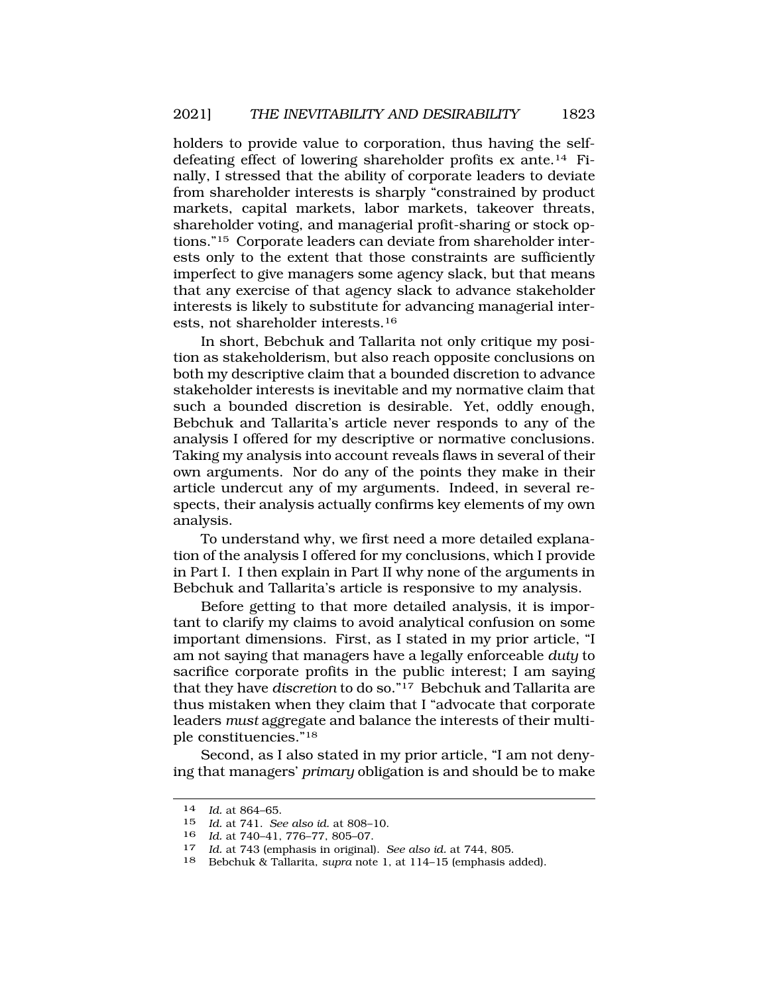holders to provide value to corporation, thus having the selfdefeating effect of lowering shareholder profits ex ante.14 Finally, I stressed that the ability of corporate leaders to deviate from shareholder interests is sharply "constrained by product markets, capital markets, labor markets, takeover threats, shareholder voting, and managerial profit-sharing or stock options."15 Corporate leaders can deviate from shareholder interests only to the extent that those constraints are sufficiently imperfect to give managers some agency slack, but that means that any exercise of that agency slack to advance stakeholder interests is likely to substitute for advancing managerial interests, not shareholder [interests.16](https://interests.16)

In short, Bebchuk and Tallarita not only critique my position as stakeholderism, but also reach opposite conclusions on both my descriptive claim that a bounded discretion to advance stakeholder interests is inevitable and my normative claim that such a bounded discretion is desirable. Yet, oddly enough, Bebchuk and Tallarita's article never responds to any of the analysis I offered for my descriptive or normative conclusions. Taking my analysis into account reveals flaws in several of their own arguments. Nor do any of the points they make in their article undercut any of my arguments. Indeed, in several respects, their analysis actually confirms key elements of my own analysis.

To understand why, we first need a more detailed explanation of the analysis I offered for my conclusions, which I provide in Part I. I then explain in Part II why none of the arguments in Bebchuk and Tallarita's article is responsive to my analysis.

Before getting to that more detailed analysis, it is important to clarify my claims to avoid analytical confusion on some important dimensions. First, as I stated in my prior article, "I am not saying that managers have a legally enforceable *duty* to sacrifice corporate profits in the public interest; I am saying that they have *discretion* to do so."17 Bebchuk and Tallarita are thus mistaken when they claim that I "advocate that corporate leaders *must* aggregate and balance the interests of their multiple constituencies."18

Second, as I also stated in my prior article, "I am not denying that managers' *primary* obligation is and should be to make

<sup>14</sup> *Id.* at 864–65.

<sup>15</sup> *Id.* at 741. *See also id.* at 808–10.

<sup>16</sup>*Id.* at 740–41, 776–77, 805–07. 17 *Id.* at 743 (emphasis in original). *See also id.* at 744, 805.

<sup>18</sup> Bebchuk & Tallarita, *supra* note 1, at 114–15 (emphasis added).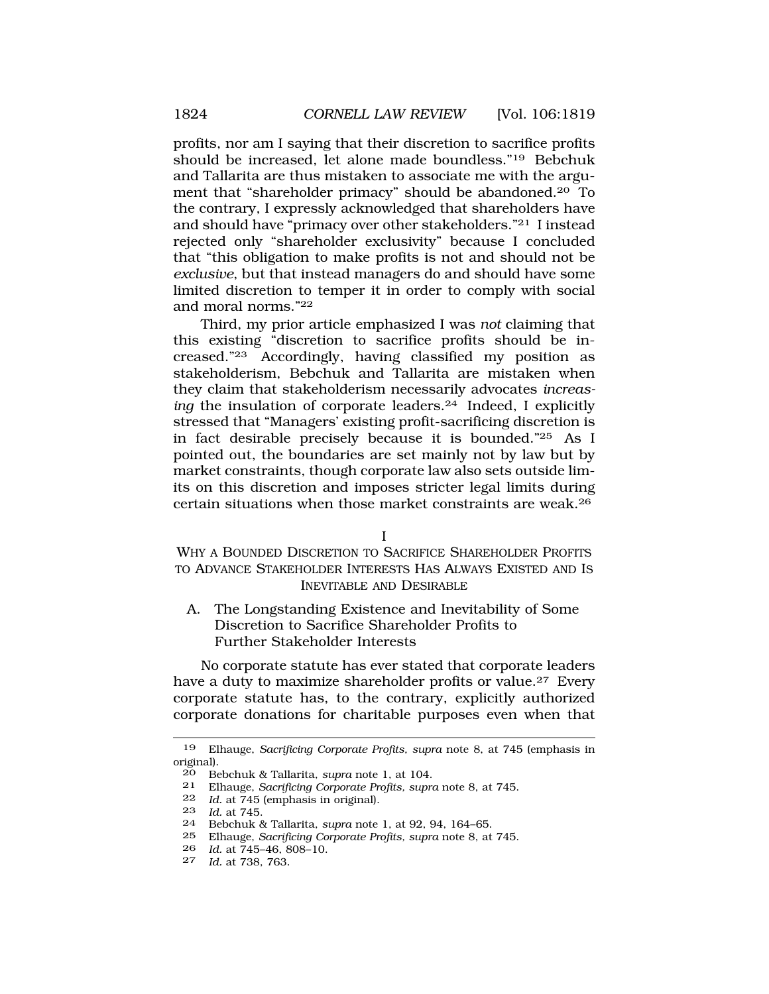profits, nor am I saying that their discretion to sacrifice profits should be increased, let alone made boundless."19 Bebchuk and Tallarita are thus mistaken to associate me with the argument that "shareholder primacy" should be [abandoned.20](https://abandoned.20) To the contrary, I expressly acknowledged that shareholders have and should have "primacy over other stakeholders."21 I instead rejected only "shareholder exclusivity" because I concluded that "this obligation to make profits is not and should not be *exclusive*, but that instead managers do and should have some limited discretion to temper it in order to comply with social and moral norms."22

Third, my prior article emphasized I was *not* claiming that this existing "discretion to sacrifice profits should be increased."23 Accordingly, having classified my position as stakeholderism, Bebchuk and Tallarita are mistaken when they claim that stakeholderism necessarily advocates *increasing* the insulation of corporate leaders.<sup>24</sup> Indeed, I explicitly stressed that "Managers' existing profit-sacrificing discretion is in fact desirable precisely because it is bounded."25 As I pointed out, the boundaries are set mainly not by law but by market constraints, though corporate law also sets outside limits on this discretion and imposes stricter legal limits during certain situations when those market constraints are weak.26

I

WHY A BOUNDED DISCRETION TO SACRIFICE SHAREHOLDER PROFITS TO ADVANCE STAKEHOLDER INTERESTS HAS ALWAYS EXISTED AND IS INEVITABLE AND DESIRABLE

A. The Longstanding Existence and Inevitability of Some Discretion to Sacrifice Shareholder Profits to Further Stakeholder Interests

No corporate statute has ever stated that corporate leaders have a duty to maximize shareholder profits or value.<sup>27</sup> Every corporate statute has, to the contrary, explicitly authorized corporate donations for charitable purposes even when that

<sup>19</sup> Elhauge, *Sacrificing Corporate Profits, supra* note 8, at 745 (emphasis in original).

<sup>20</sup> Bebchuk & Tallarita, *supra* note 1, at 104.

<sup>21</sup> Elhauge, *Sacrificing Corporate Profits, supra* note 8, at 745.

Id. at 745 (emphasis in original).

<sup>23</sup> *Id.* at 745.

<sup>24</sup> Bebchuk & Tallarita, *supra* note 1, at 92, 94, 164–65.

<sup>25</sup> Elhauge, *Sacrificing Corporate Profits, supra* note 8, at 745.

<sup>26</sup> *Id.* at 745–46, 808–10.

<sup>27</sup> *Id.* at 738, 763.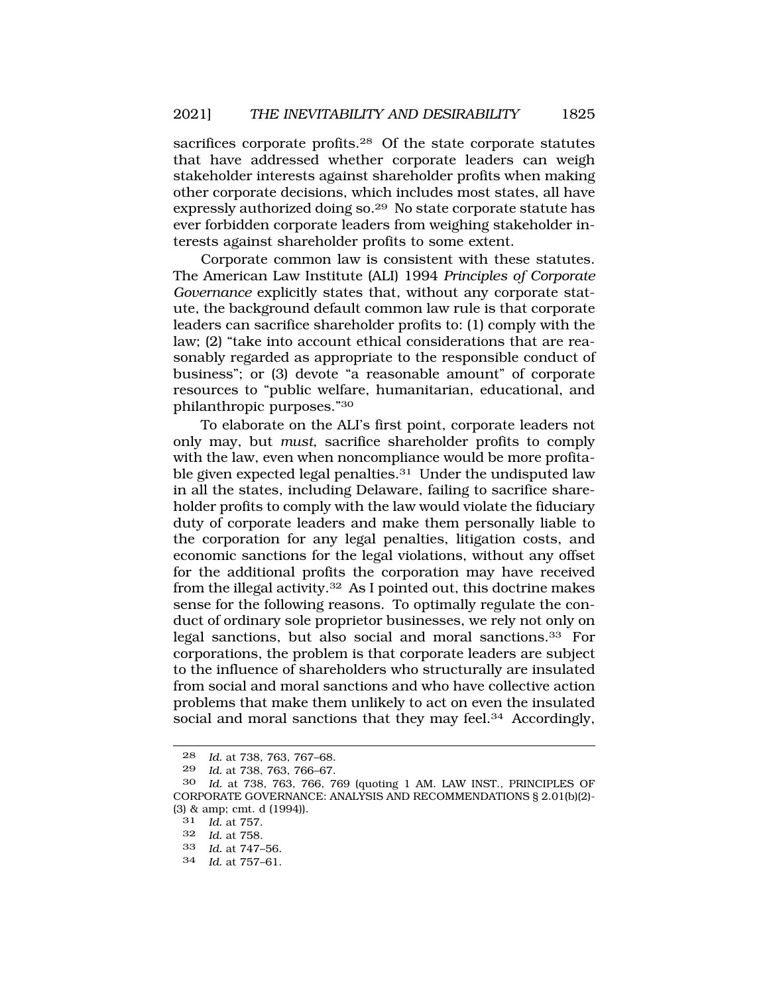sacrifices corporate profits.<sup>28</sup> Of the state corporate statutes that have addressed whether corporate leaders can weigh stakeholder interests against shareholder profits when making other corporate decisions, which includes most states, all have expressly authorized doing so.29 No state corporate statute has ever forbidden corporate leaders from weighing stakeholder interests against shareholder profits to some extent.

Corporate common law is consistent with these statutes. The American Law Institute (ALI) 1994 *Principles of Corporate Governance* explicitly states that, without any corporate statute, the background default common law rule is that corporate leaders can sacrifice shareholder profits to: (1) comply with the law; (2) "take into account ethical considerations that are reasonably regarded as appropriate to the responsible conduct of business"; or (3) devote "a reasonable amount" of corporate resources to "public welfare, humanitarian, educational, and philanthropic purposes."30

To elaborate on the ALI's first point, corporate leaders not only may, but *must*, sacrifice shareholder profits to comply with the law, even when noncompliance would be more profitable given expected legal penalties.<sup>31</sup> Under the undisputed law in all the states, including Delaware, failing to sacrifice shareholder profits to comply with the law would violate the fiduciary duty of corporate leaders and make them personally liable to the corporation for any legal penalties, litigation costs, and economic sanctions for the legal violations, without any offset for the additional profits the corporation may have received from the illegal [activity.32](https://activity.32) As I pointed out, this doctrine makes sense for the following reasons. To optimally regulate the conduct of ordinary sole proprietor businesses, we rely not only on legal sanctions, but also social and moral [sanctions.33](https://sanctions.33) For corporations, the problem is that corporate leaders are subject to the influence of shareholders who structurally are insulated from social and moral sanctions and who have collective action problems that make them unlikely to act on even the insulated social and moral sanctions that they may feel.<sup>34</sup> Accordingly,

<sup>28</sup> *Id.* at 738, 763, 767–68.

<sup>29</sup> *Id.* at 738, 763, 766–67.

Id. at 738, 763, 766, 769 (quoting 1 AM. LAW INST., PRINCIPLES OF CORPORATE GOVERNANCE: ANALYSIS AND RECOMMENDATIONS § 2.01(b)(2)- (3) & amp; cmt. d (1994)).<br> $31$  *Id at 757* 

<sup>31</sup> *Id.* at 757.

<sup>32</sup> *Id.* at 758.

<sup>33</sup> *Id.* at 747–56.

<sup>34</sup> *Id.* at 757–61.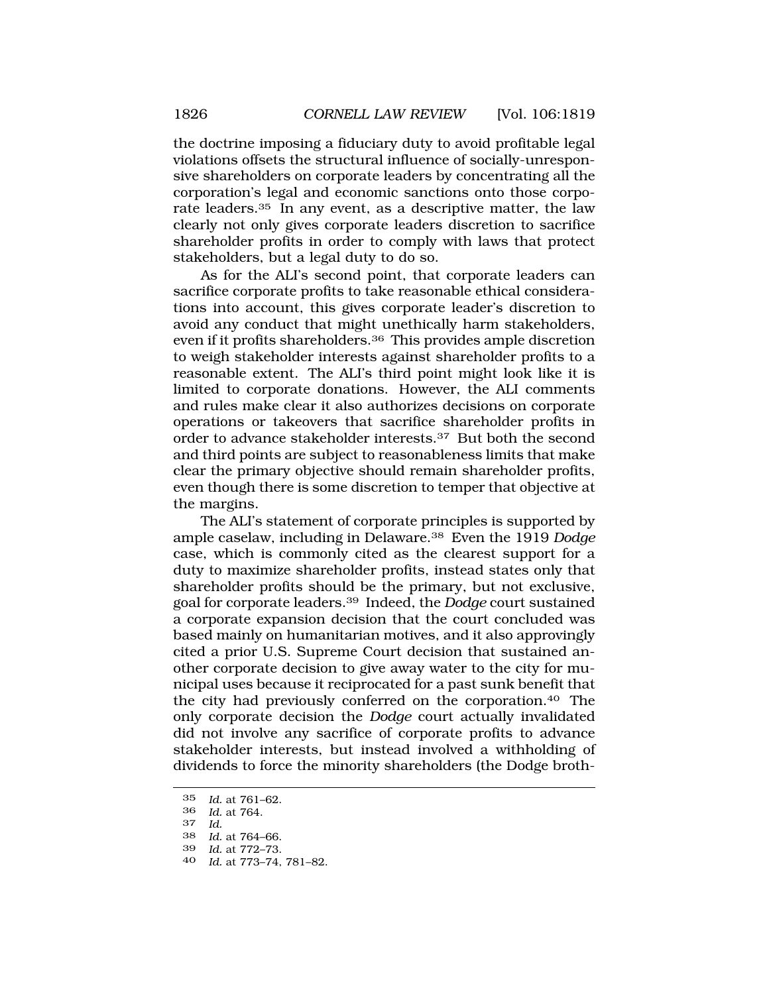the doctrine imposing a fiduciary duty to avoid profitable legal violations offsets the structural influence of socially-unresponsive shareholders on corporate leaders by concentrating all the corporation's legal and economic sanctions onto those corporate leaders.<sup>35</sup> In any event, as a descriptive matter, the law clearly not only gives corporate leaders discretion to sacrifice shareholder profits in order to comply with laws that protect stakeholders, but a legal duty to do so.

As for the ALI's second point, that corporate leaders can sacrifice corporate profits to take reasonable ethical considerations into account, this gives corporate leader's discretion to avoid any conduct that might unethically harm stakeholders, even if it profits [shareholders.36](https://shareholders.36) This provides ample discretion to weigh stakeholder interests against shareholder profits to a reasonable extent. The ALI's third point might look like it is limited to corporate donations. However, the ALI comments and rules make clear it also authorizes decisions on corporate operations or takeovers that sacrifice shareholder profits in order to advance stakeholder [interests.37](https://interests.37) But both the second and third points are subject to reasonableness limits that make clear the primary objective should remain shareholder profits, even though there is some discretion to temper that objective at the margins.

The ALI's statement of corporate principles is supported by ample caselaw, including in [Delaware.38](https://Delaware.38) Even the 1919 *Dodge*  case, which is commonly cited as the clearest support for a duty to maximize shareholder profits, instead states only that shareholder profits should be the primary, but not exclusive, goal for corporate [leaders.39](https://leaders.39) Indeed, the *Dodge* court sustained a corporate expansion decision that the court concluded was based mainly on humanitarian motives, and it also approvingly cited a prior U.S. Supreme Court decision that sustained another corporate decision to give away water to the city for municipal uses because it reciprocated for a past sunk benefit that the city had previously conferred on the [corporation.40](https://corporation.40) The only corporate decision the *Dodge* court actually invalidated did not involve any sacrifice of corporate profits to advance stakeholder interests, but instead involved a withholding of dividends to force the minority shareholders (the Dodge broth-

<sup>35</sup> *Id.* at 761–62.

<sup>36</sup> *Id.* at 764.

<sup>37</sup> *Id.* 

<sup>38</sup> *Id.* at 764–66.

<sup>39</sup> *Id.* at 772–73.

<sup>40</sup> *Id.* at 773–74, 781–82.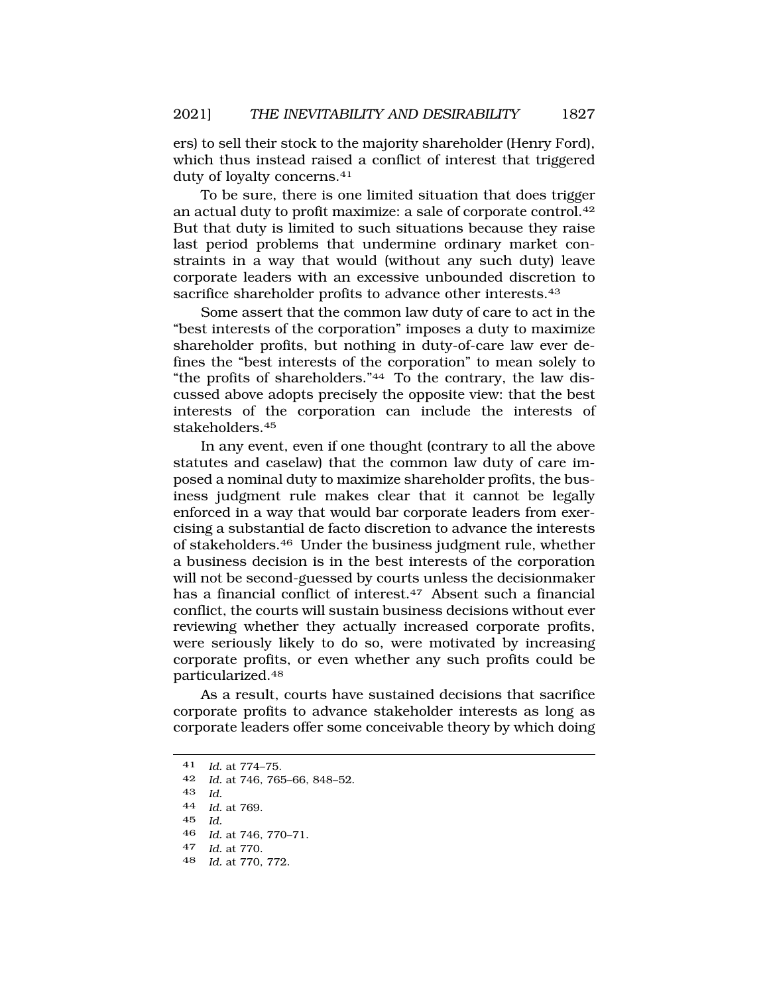ers) to sell their stock to the majority shareholder (Henry Ford), which thus instead raised a conflict of interest that triggered duty of loyalty [concerns.41](https://concerns.41) 

To be sure, there is one limited situation that does trigger an actual duty to profit maximize: a sale of corporate [control.42](https://control.42)  But that duty is limited to such situations because they raise last period problems that undermine ordinary market constraints in a way that would (without any such duty) leave corporate leaders with an excessive unbounded discretion to sacrifice shareholder profits to advance other interests.<sup>43</sup>

Some assert that the common law duty of care to act in the "best interests of the corporation" imposes a duty to maximize shareholder profits, but nothing in duty-of-care law ever defines the "best interests of the corporation" to mean solely to "the profits of shareholders."44 To the contrary, the law discussed above adopts precisely the opposite view: that the best interests of the corporation can include the interests of [stakeholders.45](https://stakeholders.45)

In any event, even if one thought (contrary to all the above statutes and caselaw) that the common law duty of care imposed a nominal duty to maximize shareholder profits, the business judgment rule makes clear that it cannot be legally enforced in a way that would bar corporate leaders from exercising a substantial de facto discretion to advance the interests of [stakeholders.46](https://stakeholders.46) Under the business judgment rule, whether a business decision is in the best interests of the corporation will not be second-guessed by courts unless the decisionmaker has a financial conflict of interest.<sup>47</sup> Absent such a financial conflict, the courts will sustain business decisions without ever reviewing whether they actually increased corporate profits, were seriously likely to do so, were motivated by increasing corporate profits, or even whether any such profits could be [particularized.48](https://particularized.48) 

As a result, courts have sustained decisions that sacrifice corporate profits to advance stakeholder interests as long as corporate leaders offer some conceivable theory by which doing

- 45 *Id.*
- 46 *Id.* at 746, 770–71.
- 47 *Id.* at 770.
- 48 *Id.* at 770, 772.

<sup>41</sup> *Id.* at 774–75.

<sup>42</sup> *Id.* at 746, 765–66, 848–52.

<sup>43</sup> *Id.* 

<sup>44</sup> *Id.* at 769.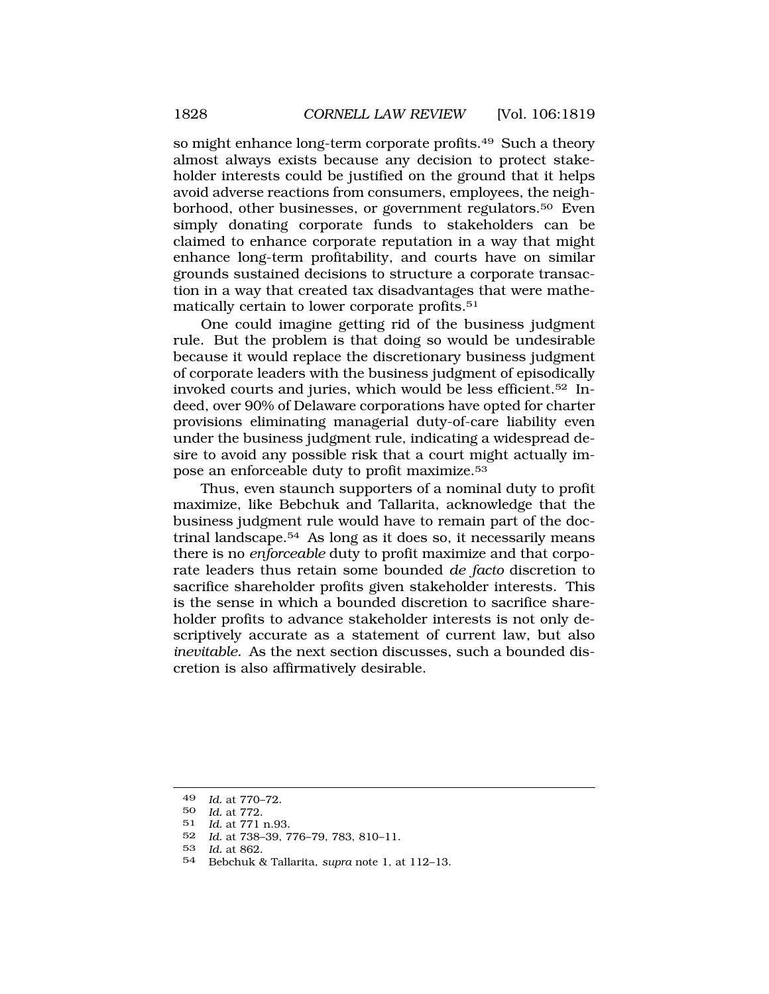so might enhance long-term corporate profits.<sup>49</sup> Such a theory almost always exists because any decision to protect stakeholder interests could be justified on the ground that it helps avoid adverse reactions from consumers, employees, the neighborhood, other businesses, or government regulators.<sup>50</sup> Even simply donating corporate funds to stakeholders can be claimed to enhance corporate reputation in a way that might enhance long-term profitability, and courts have on similar grounds sustained decisions to structure a corporate transaction in a way that created tax disadvantages that were mathematically certain to lower corporate [profits.51](https://profits.51)

One could imagine getting rid of the business judgment rule. But the problem is that doing so would be undesirable because it would replace the discretionary business judgment of corporate leaders with the business judgment of episodically invoked courts and juries, which would be less [efficient.52](https://efficient.52) Indeed, over 90% of Delaware corporations have opted for charter provisions eliminating managerial duty-of-care liability even under the business judgment rule, indicating a widespread desire to avoid any possible risk that a court might actually impose an enforceable duty to profit [maximize.53](https://maximize.53)

Thus, even staunch supporters of a nominal duty to profit maximize, like Bebchuk and Tallarita, acknowledge that the business judgment rule would have to remain part of the doctrinal [landscape.54](https://landscape.54) As long as it does so, it necessarily means there is no *enforceable* duty to profit maximize and that corporate leaders thus retain some bounded *de facto* discretion to sacrifice shareholder profits given stakeholder interests. This is the sense in which a bounded discretion to sacrifice shareholder profits to advance stakeholder interests is not only descriptively accurate as a statement of current law, but also *inevitable.* As the next section discusses, such a bounded discretion is also affirmatively desirable.

51 *Id.* at 771 n.93.

53 *Id.* at 862.

<sup>49</sup> *Id.* at 770–72.

<sup>50</sup> *Id.* at 772.

<sup>52</sup> *Id.* at 738–39, 776–79, 783, 810–11.

<sup>54</sup> Bebchuk & Tallarita, *supra* note 1, at 112–13.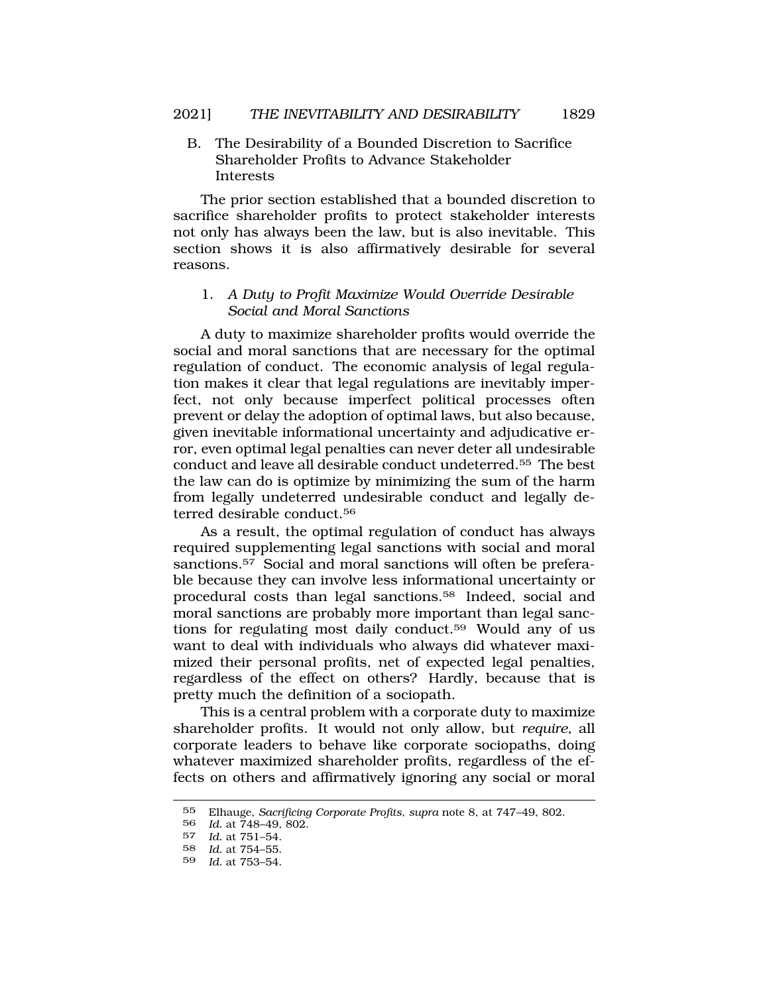B. The Desirability of a Bounded Discretion to Sacrifice Shareholder Profits to Advance Stakeholder Interests

The prior section established that a bounded discretion to sacrifice shareholder profits to protect stakeholder interests not only has always been the law, but is also inevitable. This section shows it is also affirmatively desirable for several reasons.

#### 1. *A Duty to Profit Maximize Would Override Desirable Social and Moral Sanctions*

A duty to maximize shareholder profits would override the social and moral sanctions that are necessary for the optimal regulation of conduct. The economic analysis of legal regulation makes it clear that legal regulations are inevitably imperfect, not only because imperfect political processes often prevent or delay the adoption of optimal laws, but also because, given inevitable informational uncertainty and adjudicative error, even optimal legal penalties can never deter all undesirable conduct and leave all desirable conduct [undeterred.55](https://undeterred.55) The best the law can do is optimize by minimizing the sum of the harm from legally undeterred undesirable conduct and legally deterred desirable conduct.<sup>56</sup>

As a result, the optimal regulation of conduct has always required supplementing legal sanctions with social and moral sanctions.<sup>57</sup> Social and moral sanctions will often be preferable because they can involve less informational uncertainty or procedural costs than legal [sanctions.58](https://sanctions.58) Indeed, social and moral sanctions are probably more important than legal sanctions for regulating most daily [conduct.59](https://conduct.59) Would any of us want to deal with individuals who always did whatever maximized their personal profits, net of expected legal penalties, regardless of the effect on others? Hardly, because that is pretty much the definition of a sociopath.

This is a central problem with a corporate duty to maximize shareholder profits. It would not only allow, but *require*, all corporate leaders to behave like corporate sociopaths, doing whatever maximized shareholder profits, regardless of the effects on others and affirmatively ignoring any social or moral

<sup>55</sup> Elhauge, *Sacrificing Corporate Profits, supra* note 8, at 747–49, 802.

<sup>56</sup> *Id.* at 748–49, 802.

<sup>57</sup> *Id.* at 751–54.

<sup>58</sup> *Id.* at 754–55.

<sup>59</sup> *Id.* at 753–54.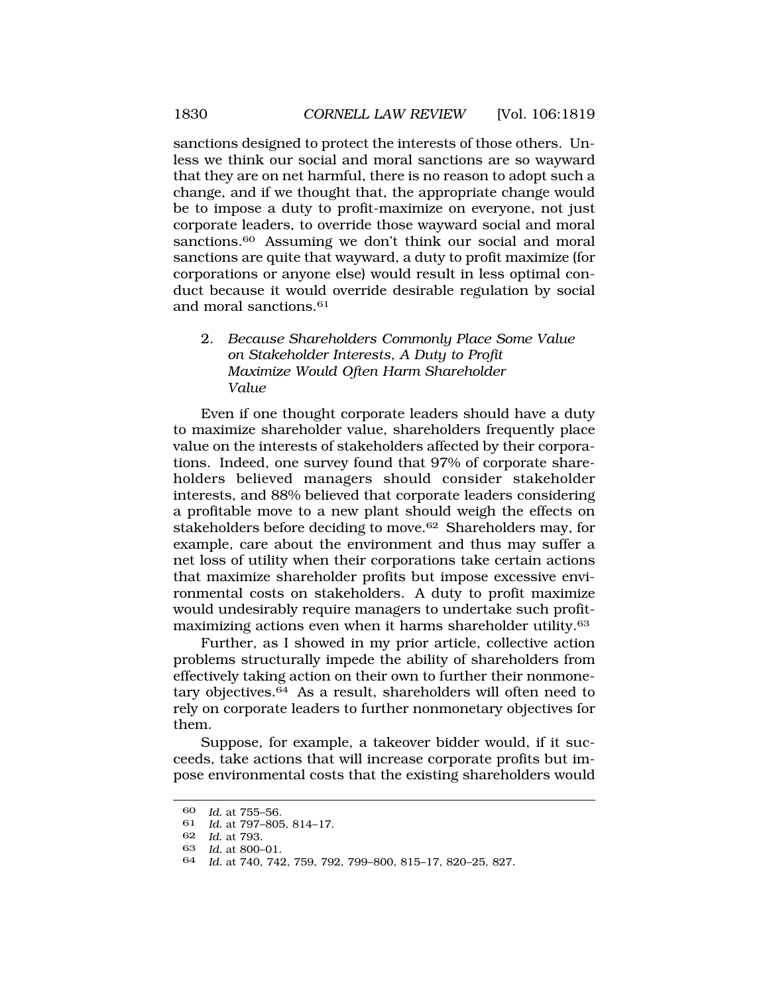sanctions designed to protect the interests of those others. Unless we think our social and moral sanctions are so wayward that they are on net harmful, there is no reason to adopt such a change, and if we thought that, the appropriate change would be to impose a duty to profit-maximize on everyone, not just corporate leaders, to override those wayward social and moral sanctions.<sup>60</sup> Assuming we don't think our social and moral sanctions are quite that wayward, a duty to profit maximize (for corporations or anyone else) would result in less optimal conduct because it would override desirable regulation by social and moral [sanctions.61](https://sanctions.61)

2. *Because Shareholders Commonly Place Some Value on Stakeholder Interests, A Duty to Profit Maximize Would Often Harm Shareholder Value* 

Even if one thought corporate leaders should have a duty to maximize shareholder value, shareholders frequently place value on the interests of stakeholders affected by their corporations. Indeed, one survey found that 97% of corporate shareholders believed managers should consider stakeholder interests, and 88% believed that corporate leaders considering a profitable move to a new plant should weigh the effects on stakeholders before deciding to move.62 Shareholders may, for example, care about the environment and thus may suffer a net loss of utility when their corporations take certain actions that maximize shareholder profits but impose excessive environmental costs on stakeholders. A duty to profit maximize would undesirably require managers to undertake such profitmaximizing actions even when it harms shareholder utility.<sup>63</sup>

Further, as I showed in my prior article, collective action problems structurally impede the ability of shareholders from effectively taking action on their own to further their nonmonetary objectives. $64$  As a result, shareholders will often need to rely on corporate leaders to further nonmonetary objectives for them.

Suppose, for example, a takeover bidder would, if it succeeds, take actions that will increase corporate profits but impose environmental costs that the existing shareholders would

<sup>60</sup> *Id.* at 755–56.

<sup>61</sup> *Id.* at 797–805, 814–17.

<sup>62</sup> *Id.* at 793.

<sup>63</sup> *Id.* at 800–01.

<sup>64</sup> *Id.* at 740, 742, 759, 792, 799–800, 815–17, 820–25, 827.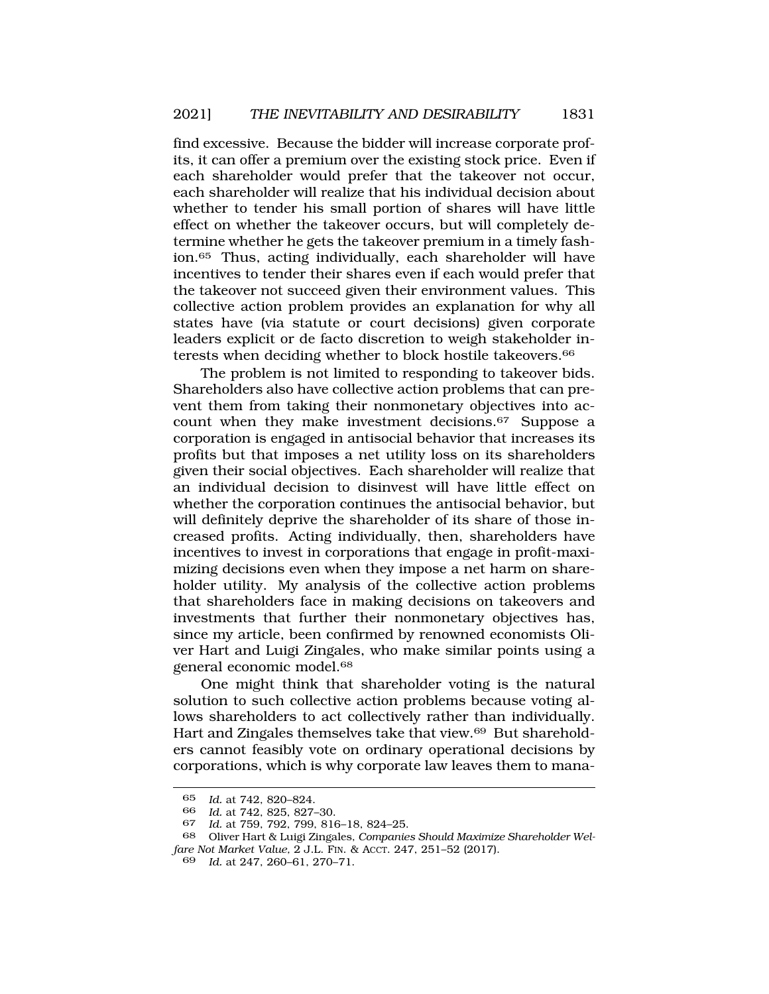find excessive. Because the bidder will increase corporate profits, it can offer a premium over the existing stock price. Even if

each shareholder would prefer that the takeover not occur, each shareholder will realize that his individual decision about whether to tender his small portion of shares will have little effect on whether the takeover occurs, but will completely determine whether he gets the takeover premium in a timely fashion.65 Thus, acting individually, each shareholder will have incentives to tender their shares even if each would prefer that the takeover not succeed given their environment values. This collective action problem provides an explanation for why all states have (via statute or court decisions) given corporate leaders explicit or de facto discretion to weigh stakeholder interests when deciding whether to block hostile takeovers.<sup>66</sup>

The problem is not limited to responding to takeover bids. Shareholders also have collective action problems that can prevent them from taking their nonmonetary objectives into account when they make investment [decisions.67](https://decisions.67) Suppose a corporation is engaged in antisocial behavior that increases its profits but that imposes a net utility loss on its shareholders given their social objectives. Each shareholder will realize that an individual decision to disinvest will have little effect on whether the corporation continues the antisocial behavior, but will definitely deprive the shareholder of its share of those increased profits. Acting individually, then, shareholders have incentives to invest in corporations that engage in profit-maximizing decisions even when they impose a net harm on shareholder utility. My analysis of the collective action problems that shareholders face in making decisions on takeovers and investments that further their nonmonetary objectives has, since my article, been confirmed by renowned economists Oliver Hart and Luigi Zingales, who make similar points using a general economic [model.68](https://model.68)

One might think that shareholder voting is the natural solution to such collective action problems because voting allows shareholders to act collectively rather than individually. Hart and Zingales themselves take that view.<sup>69</sup> But shareholders cannot feasibly vote on ordinary operational decisions by corporations, which is why corporate law leaves them to mana-

<sup>65</sup> *Id.* at 742, 820–824.

<sup>66</sup> *Id.* at 742, 825, 827–30.

<sup>67</sup> *Id.* at 759, 792, 799, 816–18, 824–25.

<sup>68</sup> Oliver Hart & Luigi Zingales, *Companies Should Maximize Shareholder Welfare Not Market Value,* 2 J.L. FIN. & ACCT. 247, 251–52 (2017).

<sup>69</sup> *Id.* at 247, 260–61, 270–71.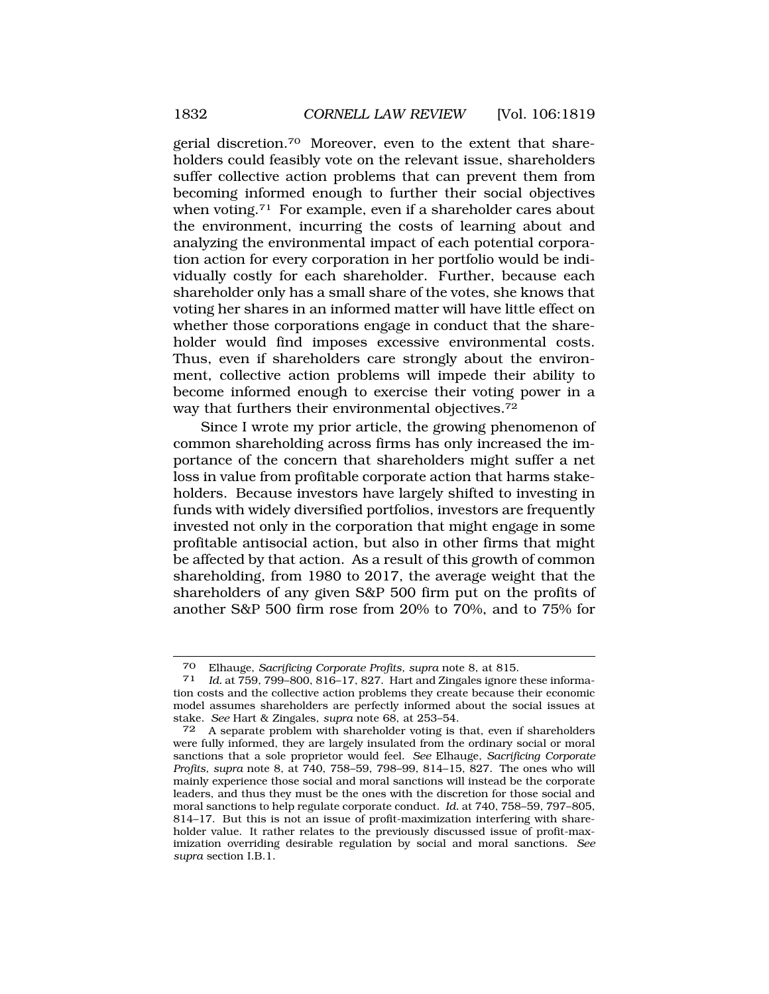gerial [discretion.70](https://discretion.70) Moreover, even to the extent that shareholders could feasibly vote on the relevant issue, shareholders suffer collective action problems that can prevent them from becoming informed enough to further their social objectives when voting.<sup>71</sup> For example, even if a shareholder cares about the environment, incurring the costs of learning about and analyzing the environmental impact of each potential corporation action for every corporation in her portfolio would be individually costly for each shareholder. Further, because each shareholder only has a small share of the votes, she knows that voting her shares in an informed matter will have little effect on whether those corporations engage in conduct that the shareholder would find imposes excessive environmental costs. Thus, even if shareholders care strongly about the environment, collective action problems will impede their ability to become informed enough to exercise their voting power in a way that furthers their environmental [objectives.72](https://objectives.72)

Since I wrote my prior article, the growing phenomenon of common shareholding across firms has only increased the importance of the concern that shareholders might suffer a net loss in value from profitable corporate action that harms stakeholders. Because investors have largely shifted to investing in funds with widely diversified portfolios, investors are frequently invested not only in the corporation that might engage in some profitable antisocial action, but also in other firms that might be affected by that action. As a result of this growth of common shareholding, from 1980 to 2017, the average weight that the shareholders of any given S&P 500 firm put on the profits of another S&P 500 firm rose from 20% to 70%, and to 75% for

<sup>70</sup> Elhauge, *Sacrificing Corporate Profits, supra* note 8, at 815. 71 *Id.* at 759, 799–800, 816–17, 827. Hart and Zingales ignore these information costs and the collective action problems they create because their economic model assumes shareholders are perfectly informed about the social issues at stake. *See* Hart & Zingales, *supra* note 68, at 253–54.

<sup>72</sup> A separate problem with shareholder voting is that, even if shareholders were fully informed, they are largely insulated from the ordinary social or moral sanctions that a sole proprietor would feel. *See* Elhauge, *Sacrificing Corporate Profits, supra* note 8, at 740, 758–59, 798–99, 814–15, 827. The ones who will mainly experience those social and moral sanctions will instead be the corporate leaders, and thus they must be the ones with the discretion for those social and moral sanctions to help regulate corporate conduct. *Id.* at 740, 758–59, 797–805, 814–17. But this is not an issue of profit-maximization interfering with shareholder value. It rather relates to the previously discussed issue of profit-maximization overriding desirable regulation by social and moral sanctions. *See supra* section I.B.1.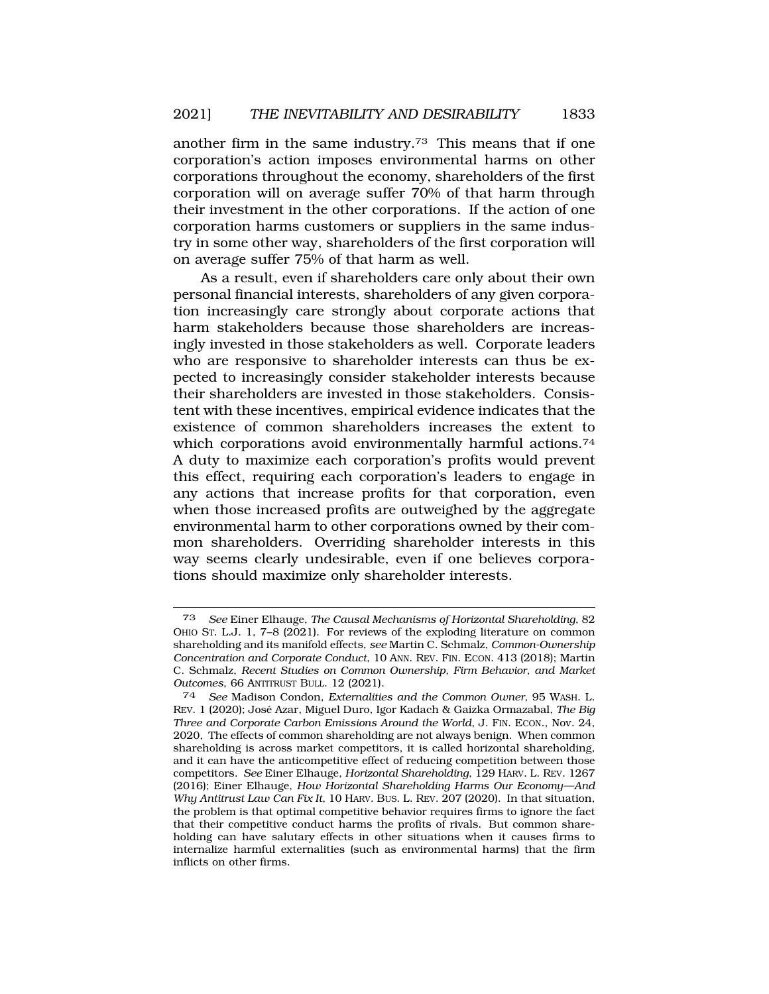another firm in the same [industry.73](https://industry.73) This means that if one corporation's action imposes environmental harms on other corporations throughout the economy, shareholders of the first corporation will on average suffer 70% of that harm through

their investment in the other corporations. If the action of one corporation harms customers or suppliers in the same industry in some other way, shareholders of the first corporation will on average suffer 75% of that harm as well.

As a result, even if shareholders care only about their own personal financial interests, shareholders of any given corporation increasingly care strongly about corporate actions that harm stakeholders because those shareholders are increasingly invested in those stakeholders as well. Corporate leaders who are responsive to shareholder interests can thus be expected to increasingly consider stakeholder interests because their shareholders are invested in those stakeholders. Consistent with these incentives, empirical evidence indicates that the existence of common shareholders increases the extent to which corporations avoid environmentally harmful actions.<sup>74</sup> A duty to maximize each corporation's profits would prevent this effect, requiring each corporation's leaders to engage in any actions that increase profits for that corporation, even when those increased profits are outweighed by the aggregate environmental harm to other corporations owned by their common shareholders. Overriding shareholder interests in this way seems clearly undesirable, even if one believes corporations should maximize only shareholder interests.

<sup>73</sup> *See* Einer Elhauge, *The Causal Mechanisms of Horizontal Shareholding*, 82 OHIO ST. L.J. 1, 7–8 (2021). For reviews of the exploding literature on common shareholding and its manifold effects, *see* Martin C. Schmalz, *Common-Ownership Concentration and Corporate Conduct*, 10 ANN. REV. FIN. ECON. 413 (2018); Martin C. Schmalz, *Recent Studies on Common Ownership, Firm Behavior, and Market Outcomes*, 66 ANTITRUST BULL. 12 (2021).

<sup>74</sup> *See* Madison Condon, *Externalities and the Common Owner,* 95 WASH. L. REV. 1 (2020); Jos´e Azar, Miguel Duro, Igor Kadach & Gaizka Ormazabal, *The Big Three and Corporate Carbon Emissions Around the World*, J. FIN. ECON., Nov. 24, 2020, The effects of common shareholding are not always benign. When common shareholding is across market competitors, it is called horizontal shareholding, and it can have the anticompetitive effect of reducing competition between those competitors. *See* Einer Elhauge, *Horizontal Shareholding*, 129 HARV. L. REV. 1267 (2016); Einer Elhauge, *How Horizontal Shareholding Harms Our Economy—And Why Antitrust Law Can Fix It,* 10 HARV. BUS. L. REV. 207 (2020). In that situation, the problem is that optimal competitive behavior requires firms to ignore the fact that their competitive conduct harms the profits of rivals. But common shareholding can have salutary effects in other situations when it causes firms to internalize harmful externalities (such as environmental harms) that the firm inflicts on other firms.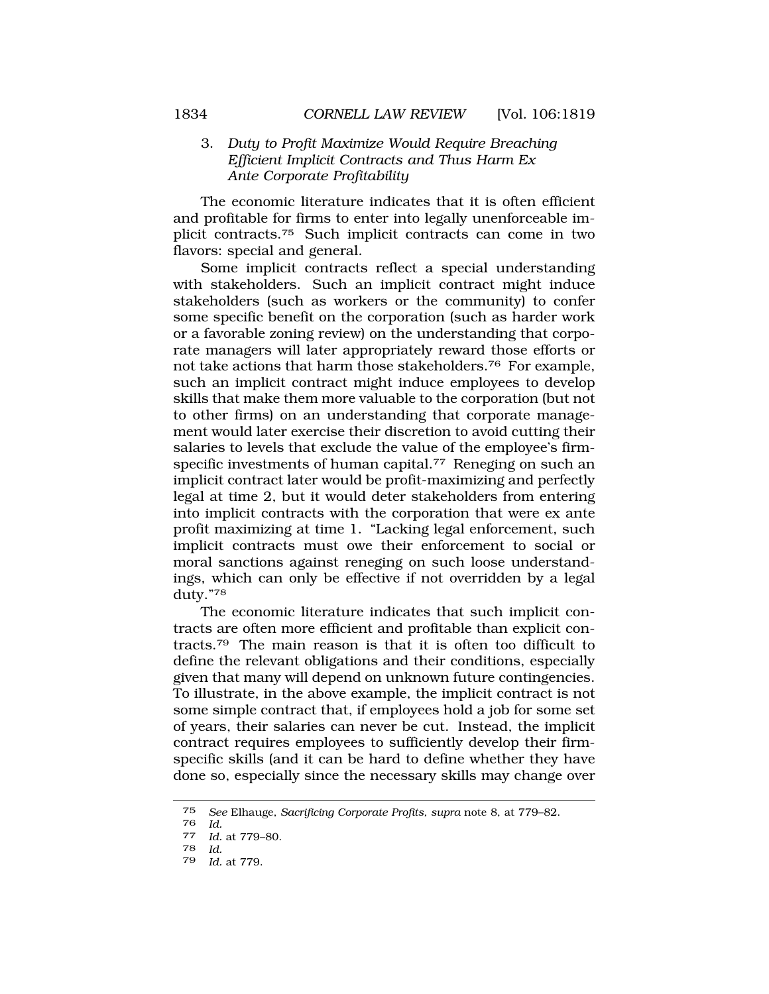## 3. *Duty to Profit Maximize Would Require Breaching Efficient Implicit Contracts and Thus Harm Ex Ante Corporate Profitability*

The economic literature indicates that it is often efficient and profitable for firms to enter into legally unenforceable implicit [contracts.75](https://contracts.75) Such implicit contracts can come in two flavors: special and general.

Some implicit contracts reflect a special understanding with stakeholders. Such an implicit contract might induce stakeholders (such as workers or the community) to confer some specific benefit on the corporation (such as harder work or a favorable zoning review) on the understanding that corporate managers will later appropriately reward those efforts or not take actions that harm those [stakeholders.76](https://stakeholders.76) For example, such an implicit contract might induce employees to develop skills that make them more valuable to the corporation (but not to other firms) on an understanding that corporate management would later exercise their discretion to avoid cutting their salaries to levels that exclude the value of the employee's firmspecific investments of human capital.<sup>77</sup> Reneging on such an implicit contract later would be profit-maximizing and perfectly legal at time 2, but it would deter stakeholders from entering into implicit contracts with the corporation that were ex ante profit maximizing at time 1. "Lacking legal enforcement, such implicit contracts must owe their enforcement to social or moral sanctions against reneging on such loose understandings, which can only be effective if not overridden by a legal duty."78

The economic literature indicates that such implicit contracts are often more efficient and profitable than explicit con[tracts.79](https://tracts.79) The main reason is that it is often too difficult to define the relevant obligations and their conditions, especially given that many will depend on unknown future contingencies. To illustrate, in the above example, the implicit contract is not some simple contract that, if employees hold a job for some set of years, their salaries can never be cut. Instead, the implicit contract requires employees to sufficiently develop their firmspecific skills (and it can be hard to define whether they have done so, especially since the necessary skills may change over

<sup>75</sup> *See* Elhauge, *Sacrificing Corporate Profits, supra* note 8, at 779–82.

<sup>76</sup>*Id.* 77 *Id.* at 779–80.

<sup>78</sup> *Id.* 

<sup>79</sup> *Id.* at 779.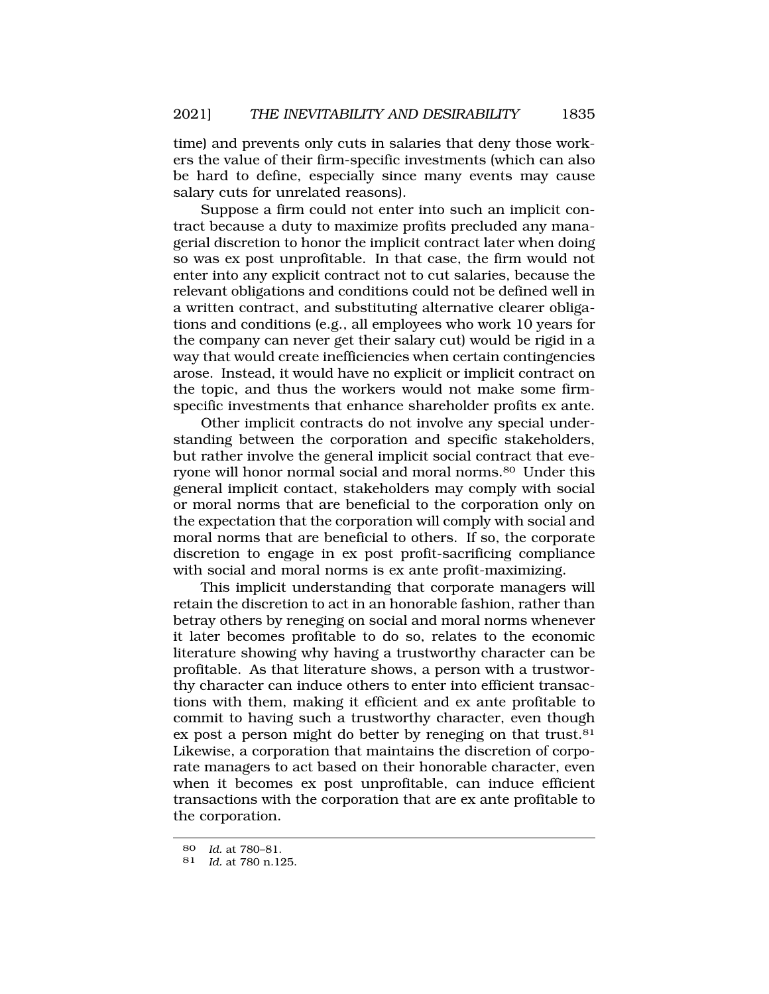time) and prevents only cuts in salaries that deny those workers the value of their firm-specific investments (which can also be hard to define, especially since many events may cause salary cuts for unrelated reasons).

Suppose a firm could not enter into such an implicit contract because a duty to maximize profits precluded any managerial discretion to honor the implicit contract later when doing so was ex post unprofitable. In that case, the firm would not enter into any explicit contract not to cut salaries, because the relevant obligations and conditions could not be defined well in a written contract, and substituting alternative clearer obligations and conditions (e.g., all employees who work 10 years for the company can never get their salary cut) would be rigid in a way that would create inefficiencies when certain contingencies arose. Instead, it would have no explicit or implicit contract on the topic, and thus the workers would not make some firmspecific investments that enhance shareholder profits ex ante.

Other implicit contracts do not involve any special understanding between the corporation and specific stakeholders, but rather involve the general implicit social contract that everyone will honor normal social and moral [norms.80](https://norms.80) Under this general implicit contact, stakeholders may comply with social or moral norms that are beneficial to the corporation only on the expectation that the corporation will comply with social and moral norms that are beneficial to others. If so, the corporate discretion to engage in ex post profit-sacrificing compliance with social and moral norms is ex ante profit-maximizing.

This implicit understanding that corporate managers will retain the discretion to act in an honorable fashion, rather than betray others by reneging on social and moral norms whenever it later becomes profitable to do so, relates to the economic literature showing why having a trustworthy character can be profitable. As that literature shows, a person with a trustworthy character can induce others to enter into efficient transactions with them, making it efficient and ex ante profitable to commit to having such a trustworthy character, even though ex post a person might do better by reneging on that trust.<sup>81</sup> Likewise, a corporation that maintains the discretion of corporate managers to act based on their honorable character, even when it becomes ex post unprofitable, can induce efficient transactions with the corporation that are ex ante profitable to the corporation.

<sup>80</sup> *Id.* at 780–81.

<sup>81</sup> *Id.* at 780 n.125.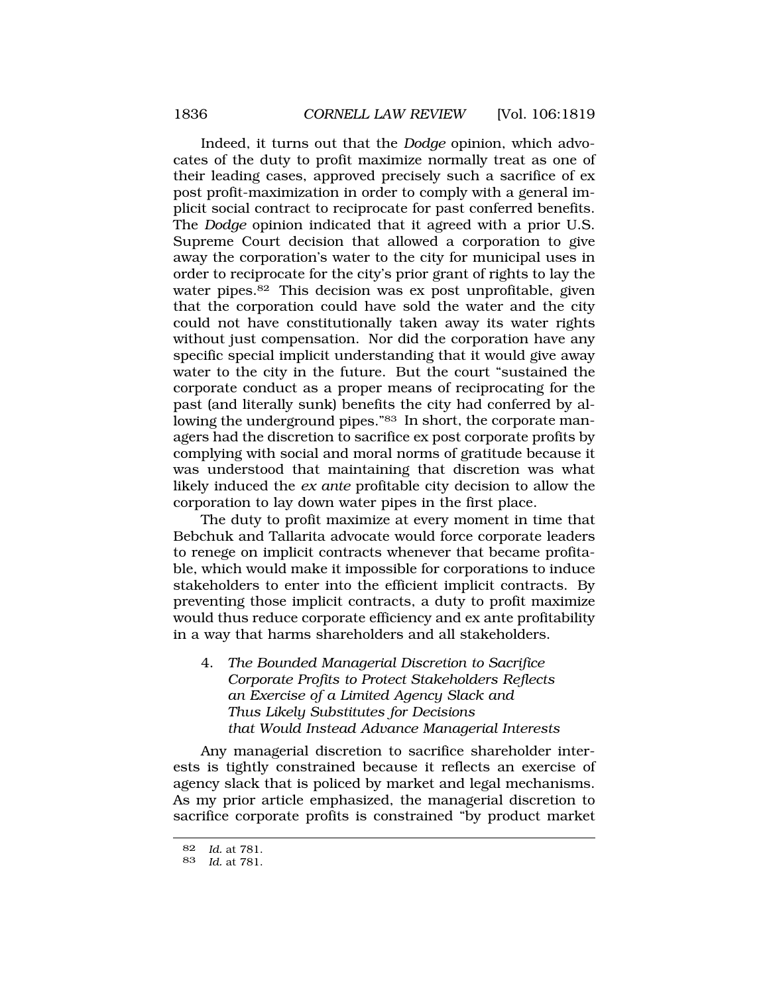Indeed, it turns out that the *Dodge* opinion, which advocates of the duty to profit maximize normally treat as one of their leading cases, approved precisely such a sacrifice of ex post profit-maximization in order to comply with a general implicit social contract to reciprocate for past conferred benefits. The *Dodge* opinion indicated that it agreed with a prior U.S. Supreme Court decision that allowed a corporation to give away the corporation's water to the city for municipal uses in order to reciprocate for the city's prior grant of rights to lay the water pipes.<sup>82</sup> This decision was ex post unprofitable, given that the corporation could have sold the water and the city could not have constitutionally taken away its water rights without just compensation. Nor did the corporation have any specific special implicit understanding that it would give away water to the city in the future. But the court "sustained the corporate conduct as a proper means of reciprocating for the past (and literally sunk) benefits the city had conferred by allowing the underground pipes."<sup>83</sup> In short, the corporate managers had the discretion to sacrifice ex post corporate profits by complying with social and moral norms of gratitude because it was understood that maintaining that discretion was what likely induced the *ex ante* profitable city decision to allow the corporation to lay down water pipes in the first place.

The duty to profit maximize at every moment in time that Bebchuk and Tallarita advocate would force corporate leaders to renege on implicit contracts whenever that became profitable, which would make it impossible for corporations to induce stakeholders to enter into the efficient implicit contracts. By preventing those implicit contracts, a duty to profit maximize would thus reduce corporate efficiency and ex ante profitability in a way that harms shareholders and all stakeholders.

4. *The Bounded Managerial Discretion to Sacrifice Corporate Profits to Protect Stakeholders Reflects an Exercise of a Limited Agency Slack and Thus Likely Substitutes for Decisions that Would Instead Advance Managerial Interests* 

Any managerial discretion to sacrifice shareholder interests is tightly constrained because it reflects an exercise of agency slack that is policed by market and legal mechanisms. As my prior article emphasized, the managerial discretion to sacrifice corporate profits is constrained "by product market

<sup>82</sup> *Id.* at 781.

<sup>83</sup> *Id.* at 781.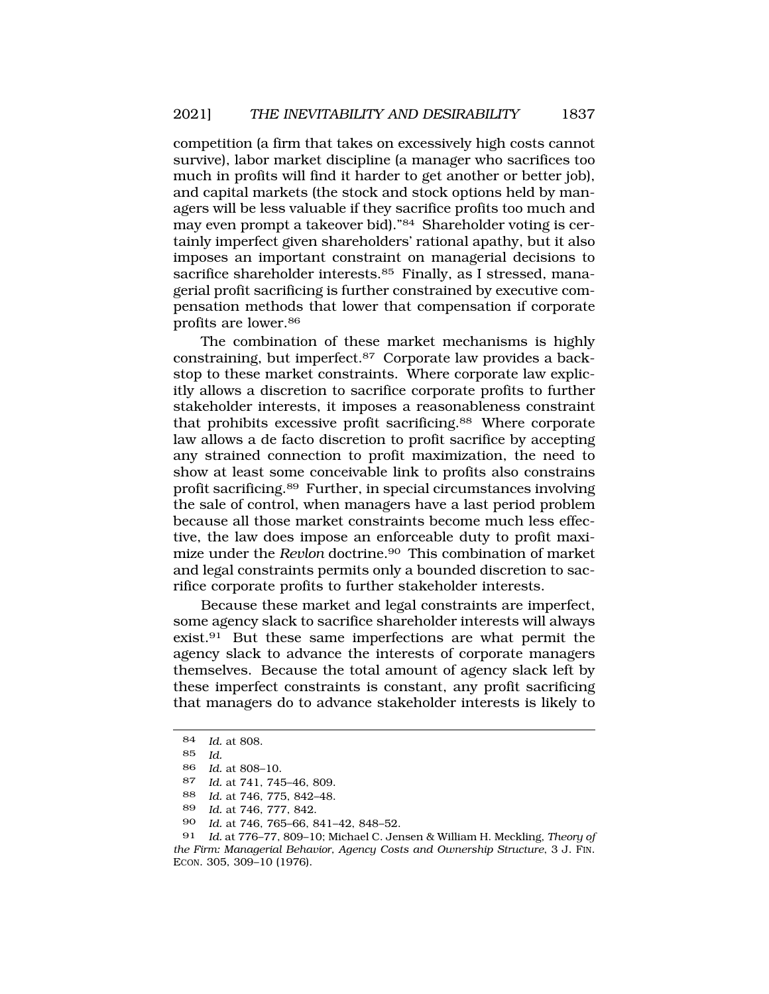competition (a firm that takes on excessively high costs cannot survive), labor market discipline (a manager who sacrifices too much in profits will find it harder to get another or better job), and capital markets (the stock and stock options held by managers will be less valuable if they sacrifice profits too much and may even prompt a takeover bid)."84 Shareholder voting is certainly imperfect given shareholders' rational apathy, but it also imposes an important constraint on managerial decisions to sacrifice shareholder interests.<sup>85</sup> Finally, as I stressed, managerial profit sacrificing is further constrained by executive compensation methods that lower that compensation if corporate profits are [lower.86](https://lower.86)

The combination of these market mechanisms is highly constraining, but [imperfect.87](https://imperfect.87) Corporate law provides a backstop to these market constraints. Where corporate law explicitly allows a discretion to sacrifice corporate profits to further stakeholder interests, it imposes a reasonableness constraint that prohibits excessive profit sacrificing.<sup>88</sup> Where corporate law allows a de facto discretion to profit sacrifice by accepting any strained connection to profit maximization, the need to show at least some conceivable link to profits also constrains profit [sacrificing.89](https://sacrificing.89) Further, in special circumstances involving the sale of control, when managers have a last period problem because all those market constraints become much less effective, the law does impose an enforceable duty to profit maximize under the *Revlon* [doctrine.90](https://doctrine.90) This combination of market and legal constraints permits only a bounded discretion to sacrifice corporate profits to further stakeholder interests.

Because these market and legal constraints are imperfect, some agency slack to sacrifice shareholder interests will always [exist.91](https://exist.91) But these same imperfections are what permit the agency slack to advance the interests of corporate managers themselves. Because the total amount of agency slack left by these imperfect constraints is constant, any profit sacrificing that managers do to advance stakeholder interests is likely to

<sup>84</sup> *Id.* at 808.

<sup>85</sup> *Id.* 

<sup>86</sup> *Id.* at 808–10.

<sup>87</sup> *Id.* at 741, 745–46, 809.

<sup>88</sup> *Id.* at 746, 775, 842–48.

<sup>89</sup> *Id.* at 746, 777, 842.

<sup>90</sup> *Id.* at 746, 765–66, 841–42, 848–52.

<sup>91</sup> *Id.* at 776–77, 809–10; Michael C. Jensen & William H. Meckling, *Theory of the Firm: Managerial Behavior, Agency Costs and Ownership Structure*, 3 J. FIN. ECON. 305, 309–10 (1976).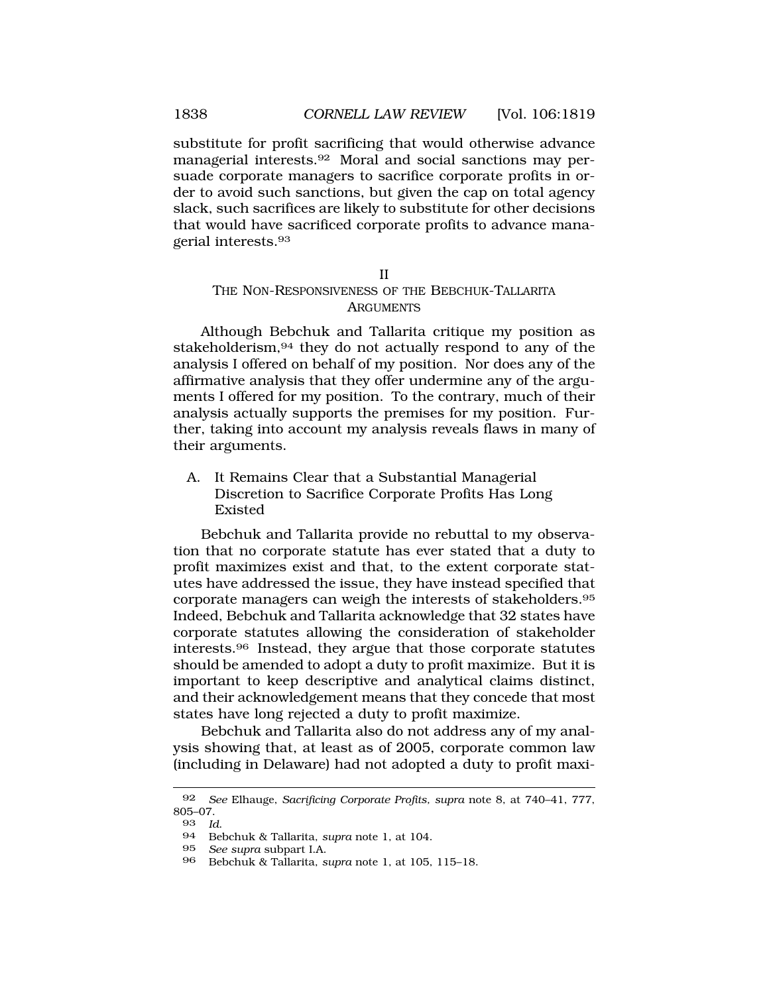substitute for profit sacrificing that would otherwise advance managerial [interests.92](https://interests.92) Moral and social sanctions may persuade corporate managers to sacrifice corporate profits in order to avoid such sanctions, but given the cap on total agency slack, such sacrifices are likely to substitute for other decisions that would have sacrificed corporate profits to advance managerial [interests.93](https://interests.93)

#### II

### THE NON-RESPONSIVENESS OF THE BEBCHUK-TALLARITA ARGUMENTS

Although Bebchuk and Tallarita critique my position as stakeholderism, <sup>94</sup> they do not actually respond to any of the analysis I offered on behalf of my position. Nor does any of the affirmative analysis that they offer undermine any of the arguments I offered for my position. To the contrary, much of their analysis actually supports the premises for my position. Further, taking into account my analysis reveals flaws in many of their arguments.

A. It Remains Clear that a Substantial Managerial Discretion to Sacrifice Corporate Profits Has Long Existed

Bebchuk and Tallarita provide no rebuttal to my observation that no corporate statute has ever stated that a duty to profit maximizes exist and that, to the extent corporate statutes have addressed the issue, they have instead specified that corporate managers can weigh the interests of [stakeholders.95](https://stakeholders.95)  Indeed, Bebchuk and Tallarita acknowledge that 32 states have corporate statutes allowing the consideration of stakeholder [interests.96](https://interests.96) Instead, they argue that those corporate statutes should be amended to adopt a duty to profit maximize. But it is important to keep descriptive and analytical claims distinct, and their acknowledgement means that they concede that most states have long rejected a duty to profit maximize.

Bebchuk and Tallarita also do not address any of my analysis showing that, at least as of 2005, corporate common law (including in Delaware) had not adopted a duty to profit maxi-

<sup>92</sup> *See* Elhauge, *Sacrificing Corporate Profits, supra* note 8, at 740–41, 777,  $805-07.$ <br>93 Id.

<sup>93</sup>*Id*. 94 Bebchuk & Tallarita, *supra* note 1, at 104.

<sup>95</sup> *See supra* subpart I.A.

<sup>96</sup> Bebchuk & Tallarita, *supra* note 1, at 105, 115–18.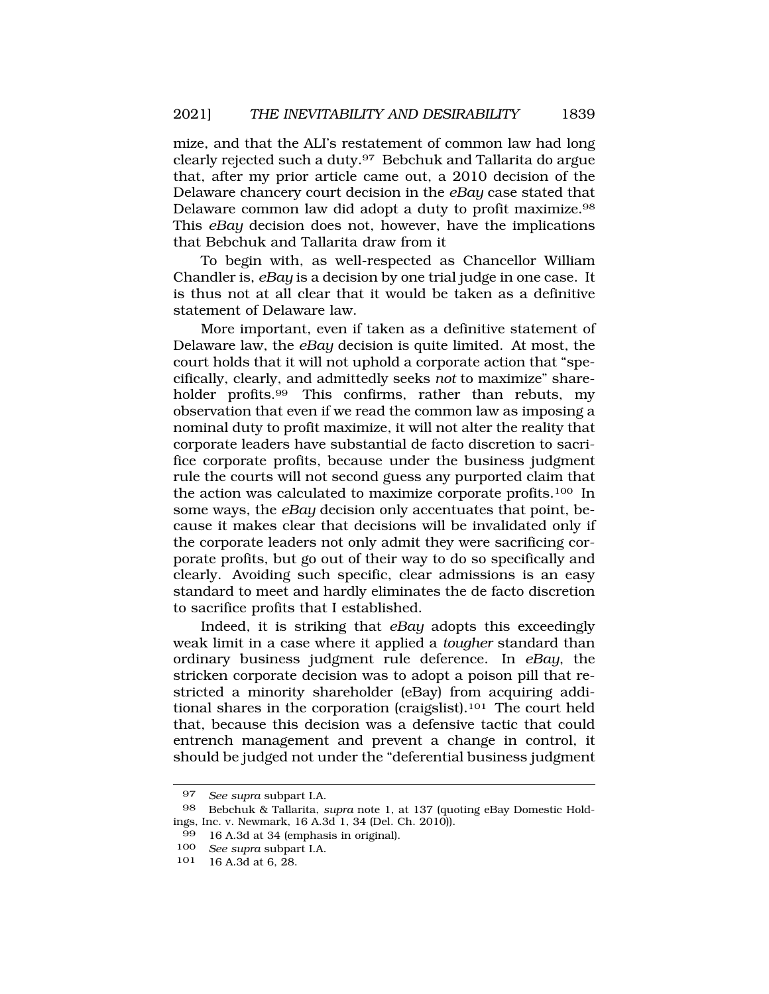mize, and that the ALI's restatement of common law had long clearly rejected such a duty.97 Bebchuk and Tallarita do argue that, after my prior article came out, a 2010 decision of the Delaware chancery court decision in the *eBay* case stated that Delaware common law did adopt a duty to profit [maximize.98](https://maximize.98)  This *eBay* decision does not, however, have the implications that Bebchuk and Tallarita draw from it

To begin with, as well-respected as Chancellor William Chandler is, *eBay* is a decision by one trial judge in one case. It is thus not at all clear that it would be taken as a definitive statement of Delaware law.

More important, even if taken as a definitive statement of Delaware law, the *eBay* decision is quite limited. At most, the court holds that it will not uphold a corporate action that "specifically, clearly, and admittedly seeks *not* to maximize" shareholder profits.<sup>99</sup> This confirms, rather than rebuts, my observation that even if we read the common law as imposing a nominal duty to profit maximize, it will not alter the reality that corporate leaders have substantial de facto discretion to sacrifice corporate profits, because under the business judgment rule the courts will not second guess any purported claim that the action was calculated to maximize corporate profits.100 In some ways, the *eBay* decision only accentuates that point, because it makes clear that decisions will be invalidated only if the corporate leaders not only admit they were sacrificing corporate profits, but go out of their way to do so specifically and clearly. Avoiding such specific, clear admissions is an easy standard to meet and hardly eliminates the de facto discretion to sacrifice profits that I established.

Indeed, it is striking that *eBay* adopts this exceedingly weak limit in a case where it applied a *tougher* standard than ordinary business judgment rule deference. In *eBay*, the stricken corporate decision was to adopt a poison pill that restricted a minority shareholder (eBay) from acquiring additional shares in the corporation (craigslist).101 The court held that, because this decision was a defensive tactic that could entrench management and prevent a change in control, it should be judged not under the "deferential business judgment

<sup>97</sup> *See supra* subpart I.A.

<sup>98</sup> Bebchuk & Tallarita, *supra* note 1, at 137 (quoting eBay Domestic Holdings, Inc. v. Newmark, 16 A.3d 1, 34 (Del. Ch. 2010)).

<sup>99 16</sup> A.3d at 34 (emphasis in original).

<sup>100</sup> *See supra* subpart I.A.

<sup>101 16</sup> A.3d at 6, 28.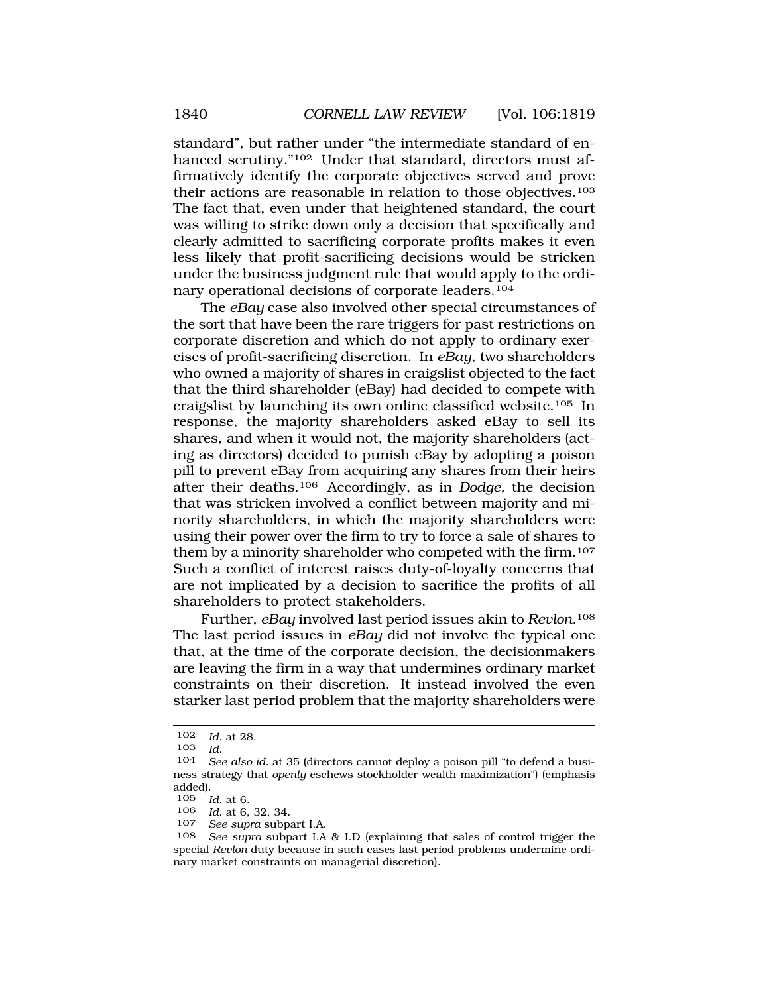standard", but rather under "the intermediate standard of enhanced scrutiny."102 Under that standard, directors must affirmatively identify the corporate objectives served and prove their actions are reasonable in relation to those objectives.103 The fact that, even under that heightened standard, the court was willing to strike down only a decision that specifically and clearly admitted to sacrificing corporate profits makes it even less likely that profit-sacrificing decisions would be stricken under the business judgment rule that would apply to the ordinary operational decisions of corporate leaders.104

The *eBay* case also involved other special circumstances of the sort that have been the rare triggers for past restrictions on corporate discretion and which do not apply to ordinary exercises of profit-sacrificing discretion. In *eBay*, two shareholders who owned a majority of shares in craigslist objected to the fact that the third shareholder (eBay) had decided to compete with craigslist by launching its own online classified website.105 In response, the majority shareholders asked eBay to sell its shares, and when it would not, the majority shareholders (acting as directors) decided to punish eBay by adopting a poison pill to prevent eBay from acquiring any shares from their heirs after their deaths.106 Accordingly, as in *Dodge,* the decision that was stricken involved a conflict between majority and minority shareholders, in which the majority shareholders were using their power over the firm to try to force a sale of shares to them by a minority shareholder who competed with the firm.<sup>107</sup> Such a conflict of interest raises duty-of-loyalty concerns that are not implicated by a decision to sacrifice the profits of all shareholders to protect stakeholders.

Further, *eBay* involved last period issues akin to *Revlon.*<sup>108</sup> The last period issues in *eBay* did not involve the typical one that, at the time of the corporate decision, the decisionmakers are leaving the firm in a way that undermines ordinary market constraints on their discretion. It instead involved the even starker last period problem that the majority shareholders were

<sup>102</sup> *Id.* at 28.

<sup>103</sup> *Id.* 

<sup>104</sup> *See also id.* at 35 (directors cannot deploy a poison pill "to defend a business strategy that *openly* eschews stockholder wealth maximization") (emphasis added).<br> $105 \frac{1}{1}$ 

*Id.* at 6.

<sup>106</sup> *Id.* at 6, 32, 34.

See supra subpart I.A.

<sup>108</sup> *See supra* subpart I.A & I.D (explaining that sales of control trigger the special *Revlon* duty because in such cases last period problems undermine ordinary market constraints on managerial discretion).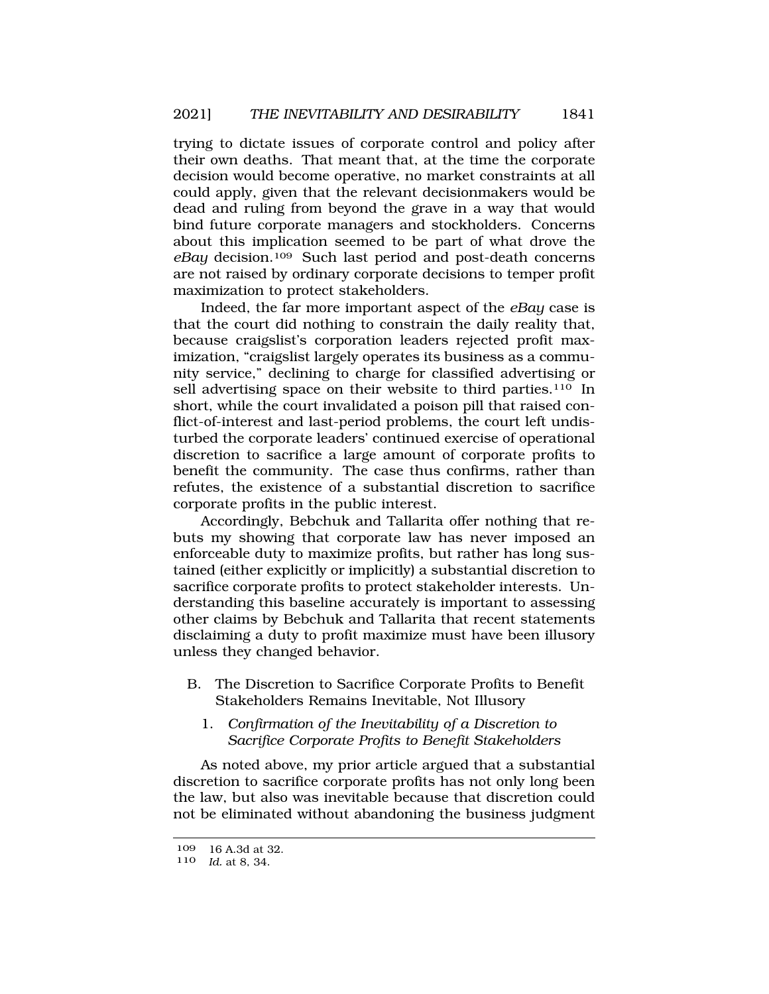trying to dictate issues of corporate control and policy after their own deaths. That meant that, at the time the corporate decision would become operative, no market constraints at all could apply, given that the relevant decisionmakers would be dead and ruling from beyond the grave in a way that would bind future corporate managers and stockholders. Concerns about this implication seemed to be part of what drove the *eBay* decision.109 Such last period and post-death concerns are not raised by ordinary corporate decisions to temper profit maximization to protect stakeholders.

Indeed, the far more important aspect of the *eBay* case is that the court did nothing to constrain the daily reality that, because craigslist's corporation leaders rejected profit maximization, "craigslist largely operates its business as a community service," declining to charge for classified advertising or sell advertising space on their website to third parties.<sup>110</sup> In short, while the court invalidated a poison pill that raised conflict-of-interest and last-period problems, the court left undisturbed the corporate leaders' continued exercise of operational discretion to sacrifice a large amount of corporate profits to benefit the community. The case thus confirms, rather than refutes, the existence of a substantial discretion to sacrifice corporate profits in the public interest.

Accordingly, Bebchuk and Tallarita offer nothing that rebuts my showing that corporate law has never imposed an enforceable duty to maximize profits, but rather has long sustained (either explicitly or implicitly) a substantial discretion to sacrifice corporate profits to protect stakeholder interests. Understanding this baseline accurately is important to assessing other claims by Bebchuk and Tallarita that recent statements disclaiming a duty to profit maximize must have been illusory unless they changed behavior.

- B. The Discretion to Sacrifice Corporate Profits to Benefit Stakeholders Remains Inevitable, Not Illusory
	- 1. *Confirmation of the Inevitability of a Discretion to Sacrifice Corporate Profits to Benefit Stakeholders*

As noted above, my prior article argued that a substantial discretion to sacrifice corporate profits has not only long been the law, but also was inevitable because that discretion could not be eliminated without abandoning the business judgment

<sup>109 16</sup> A.3d at 32.

<sup>110</sup> *Id.* at 8, 34.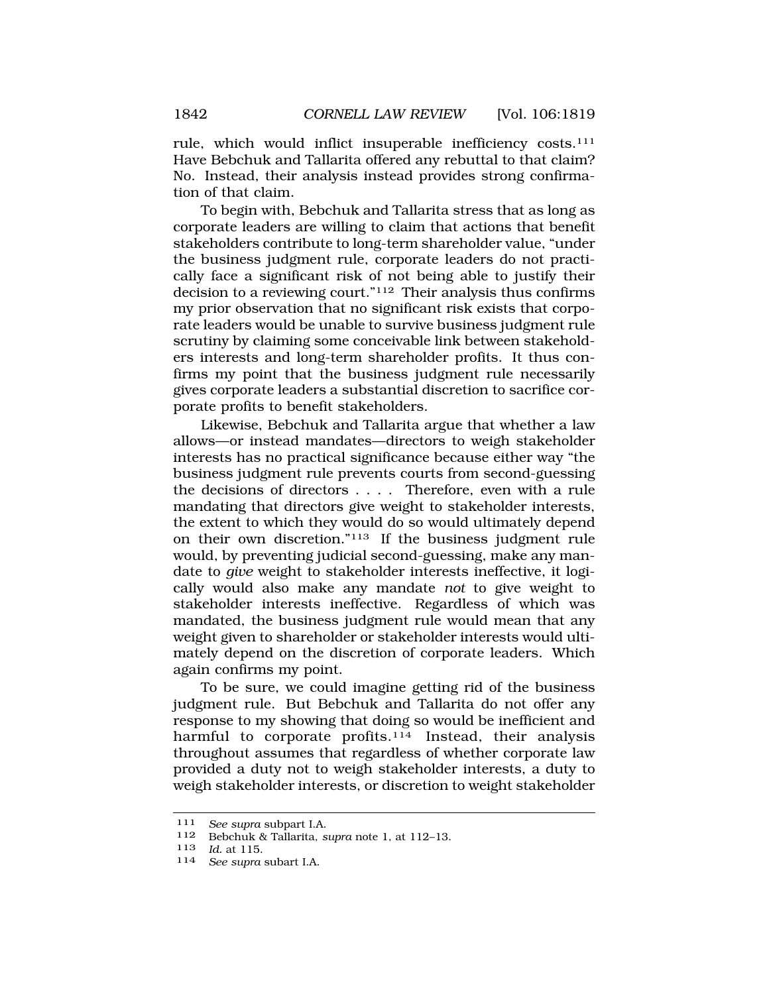rule, which would inflict insuperable inefficiency costs.<sup>111</sup> Have Bebchuk and Tallarita offered any rebuttal to that claim? No. Instead, their analysis instead provides strong confirmation of that claim.

To begin with, Bebchuk and Tallarita stress that as long as corporate leaders are willing to claim that actions that benefit stakeholders contribute to long-term shareholder value, "under the business judgment rule, corporate leaders do not practically face a significant risk of not being able to justify their decision to a reviewing court."112 Their analysis thus confirms my prior observation that no significant risk exists that corporate leaders would be unable to survive business judgment rule scrutiny by claiming some conceivable link between stakeholders interests and long-term shareholder profits. It thus confirms my point that the business judgment rule necessarily gives corporate leaders a substantial discretion to sacrifice corporate profits to benefit stakeholders.

Likewise, Bebchuk and Tallarita argue that whether a law allows—or instead mandates—directors to weigh stakeholder interests has no practical significance because either way "the business judgment rule prevents courts from second-guessing the decisions of directors . . . . Therefore, even with a rule mandating that directors give weight to stakeholder interests, the extent to which they would do so would ultimately depend on their own discretion."113 If the business judgment rule would, by preventing judicial second-guessing, make any mandate to *give* weight to stakeholder interests ineffective, it logically would also make any mandate *not* to give weight to stakeholder interests ineffective. Regardless of which was mandated, the business judgment rule would mean that any weight given to shareholder or stakeholder interests would ultimately depend on the discretion of corporate leaders. Which again confirms my point.

To be sure, we could imagine getting rid of the business judgment rule. But Bebchuk and Tallarita do not offer any response to my showing that doing so would be inefficient and harmful to corporate profits.<sup>114</sup> Instead, their analysis throughout assumes that regardless of whether corporate law provided a duty not to weigh stakeholder interests, a duty to weigh stakeholder interests, or discretion to weight stakeholder

<sup>111</sup> *See supra* subpart I.A.

<sup>112</sup> Bebchuk & Tallarita, *supra* note 1, at 112–13.

<sup>114</sup> See supra subart I.A.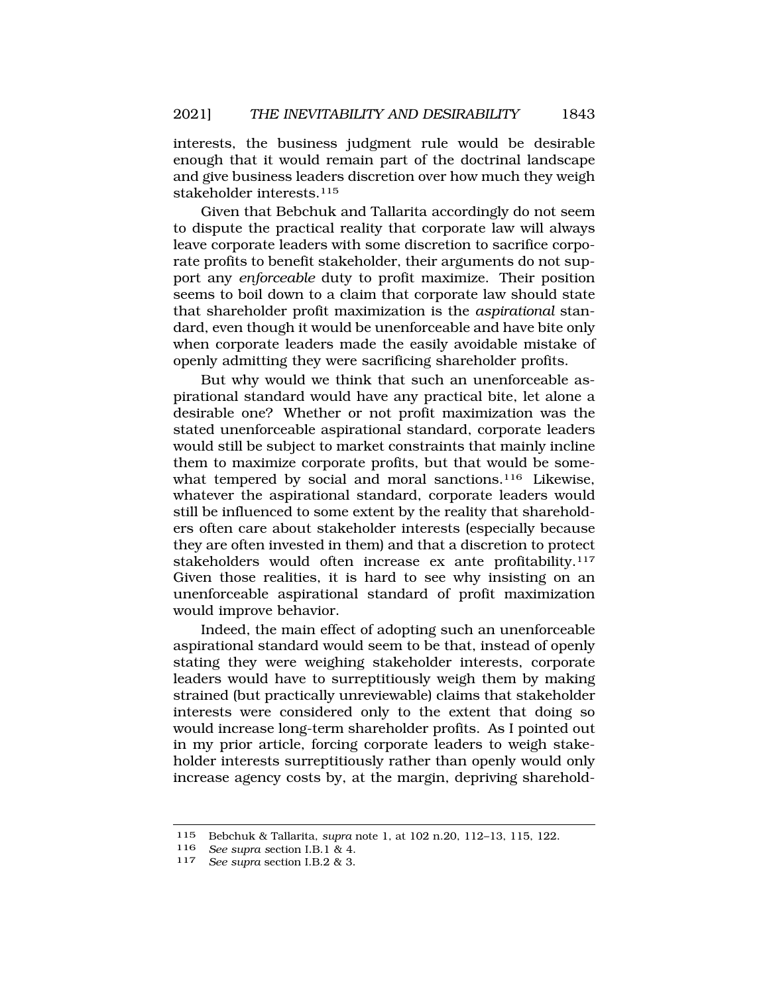interests, the business judgment rule would be desirable enough that it would remain part of the doctrinal landscape and give business leaders discretion over how much they weigh stakeholder interests.<sup>115</sup>

Given that Bebchuk and Tallarita accordingly do not seem to dispute the practical reality that corporate law will always leave corporate leaders with some discretion to sacrifice corporate profits to benefit stakeholder, their arguments do not support any *enforceable* duty to profit maximize. Their position seems to boil down to a claim that corporate law should state that shareholder profit maximization is the *aspirational* standard, even though it would be unenforceable and have bite only when corporate leaders made the easily avoidable mistake of openly admitting they were sacrificing shareholder profits.

But why would we think that such an unenforceable aspirational standard would have any practical bite, let alone a desirable one? Whether or not profit maximization was the stated unenforceable aspirational standard, corporate leaders would still be subject to market constraints that mainly incline them to maximize corporate profits, but that would be somewhat tempered by social and moral sanctions.<sup>116</sup> Likewise, whatever the aspirational standard, corporate leaders would still be influenced to some extent by the reality that shareholders often care about stakeholder interests (especially because they are often invested in them) and that a discretion to protect stakeholders would often increase ex ante profitability.<sup>117</sup> Given those realities, it is hard to see why insisting on an unenforceable aspirational standard of profit maximization would improve behavior.

Indeed, the main effect of adopting such an unenforceable aspirational standard would seem to be that, instead of openly stating they were weighing stakeholder interests, corporate leaders would have to surreptitiously weigh them by making strained (but practically unreviewable) claims that stakeholder interests were considered only to the extent that doing so would increase long-term shareholder profits. As I pointed out in my prior article, forcing corporate leaders to weigh stakeholder interests surreptitiously rather than openly would only increase agency costs by, at the margin, depriving sharehold-

<sup>115</sup> Bebchuk & Tallarita, *supra* note 1, at 102 n.20, 112–13, 115, 122.

<sup>116</sup>*See supra s*ection I.B.1 & 4. 117 *See supra* section I.B.2 & 3.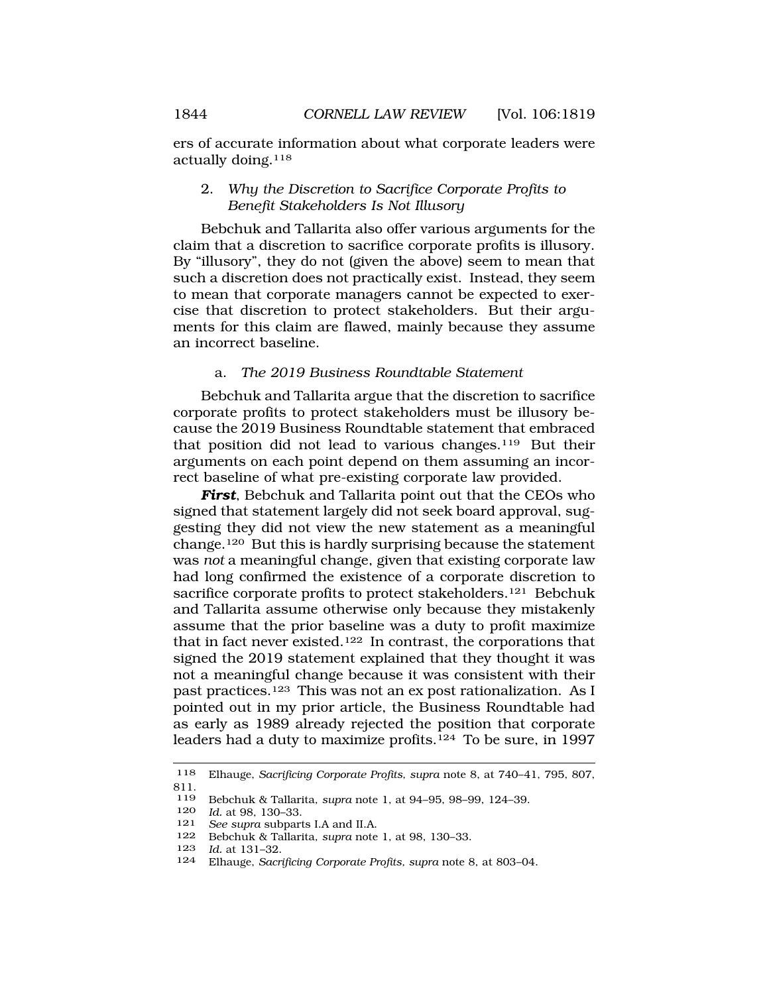ers of accurate information about what corporate leaders were actually doing.<sup>118</sup>

### 2. *Why the Discretion to Sacrifice Corporate Profits to Benefit Stakeholders Is Not Illusory*

Bebchuk and Tallarita also offer various arguments for the claim that a discretion to sacrifice corporate profits is illusory. By "illusory", they do not (given the above) seem to mean that such a discretion does not practically exist. Instead, they seem to mean that corporate managers cannot be expected to exercise that discretion to protect stakeholders. But their arguments for this claim are flawed, mainly because they assume an incorrect baseline.

#### a. *The 2019 Business Roundtable Statement*

Bebchuk and Tallarita argue that the discretion to sacrifice corporate profits to protect stakeholders must be illusory because the 2019 Business Roundtable statement that embraced that position did not lead to various changes.119 But their arguments on each point depend on them assuming an incorrect baseline of what pre-existing corporate law provided.

*First*, Bebchuk and Tallarita point out that the CEOs who signed that statement largely did not seek board approval, suggesting they did not view the new statement as a meaningful change.120 But this is hardly surprising because the statement was *not* a meaningful change, given that existing corporate law had long confirmed the existence of a corporate discretion to sacrifice corporate profits to protect stakeholders.<sup>121</sup> Bebchuk and Tallarita assume otherwise only because they mistakenly assume that the prior baseline was a duty to profit maximize that in fact never existed.122 In contrast, the corporations that signed the 2019 statement explained that they thought it was not a meaningful change because it was consistent with their past practices.123 This was not an ex post rationalization. As I pointed out in my prior article, the Business Roundtable had as early as 1989 already rejected the position that corporate leaders had a duty to maximize profits.124 To be sure, in 1997

<sup>118</sup> Elhauge, *Sacrificing Corporate Profits, supra* note 8, at 740–41, 795, 807,  $\frac{811}{119}$ 

<sup>119</sup> Bebchuk & Tallarita, *supra* note 1, at 94–95, 98–99, 124–39.

<sup>120</sup> *Id.* at 98, 130–33.

See supra subparts I.A and II.A.

<sup>122</sup> Bebchuk & Tallarita, *supra* note 1, at 98, 130–33.

<sup>123</sup> *Id.* at 131–32.

<sup>124</sup> Elhauge, *Sacrificing Corporate Profits, supra* note 8, at 803–04.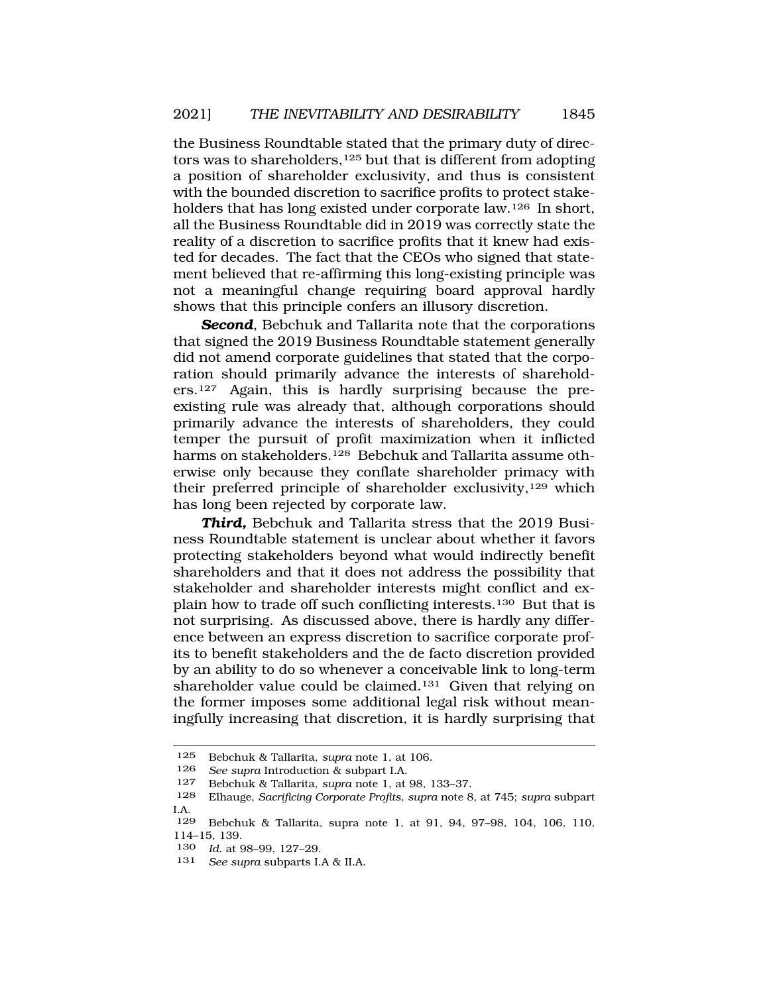the Business Roundtable stated that the primary duty of directors was to shareholders,125 but that is different from adopting a position of shareholder exclusivity, and thus is consistent with the bounded discretion to sacrifice profits to protect stakeholders that has long existed under corporate law.126 In short, all the Business Roundtable did in 2019 was correctly state the reality of a discretion to sacrifice profits that it knew had existed for decades. The fact that the CEOs who signed that statement believed that re-affirming this long-existing principle was not a meaningful change requiring board approval hardly shows that this principle confers an illusory discretion.

*Second*, Bebchuk and Tallarita note that the corporations that signed the 2019 Business Roundtable statement generally did not amend corporate guidelines that stated that the corporation should primarily advance the interests of shareholders.127 Again, this is hardly surprising because the preexisting rule was already that, although corporations should primarily advance the interests of shareholders, they could temper the pursuit of profit maximization when it inflicted harms on stakeholders.<sup>128</sup> Bebchuk and Tallarita assume otherwise only because they conflate shareholder primacy with their preferred principle of shareholder exclusivity,<sup>129</sup> which has long been rejected by corporate law.

*Third,* Bebchuk and Tallarita stress that the 2019 Business Roundtable statement is unclear about whether it favors protecting stakeholders beyond what would indirectly benefit shareholders and that it does not address the possibility that stakeholder and shareholder interests might conflict and explain how to trade off such conflicting interests.130 But that is not surprising. As discussed above, there is hardly any difference between an express discretion to sacrifice corporate profits to benefit stakeholders and the de facto discretion provided by an ability to do so whenever a conceivable link to long-term shareholder value could be claimed.<sup>131</sup> Given that relying on the former imposes some additional legal risk without meaningfully increasing that discretion, it is hardly surprising that

<sup>125</sup> Bebchuk & Tallarita, *supra* note 1, at 106.

<sup>126</sup> *See supra* Introduction & subpart I.A.

<sup>127</sup> Bebchuk & Tallarita, *supra* note 1, at 98, 133–37.

<sup>128</sup> Elhauge, *Sacrificing Corporate Profits, supra* note 8, at 745; *supra* subpart I.A.

<sup>129</sup> Bebchuk & Tallarita, supra note 1, at 91, 94, 97–98, 104, 106, 110, 114–15, 139.

<sup>130</sup> *Id.* at 98–99, 127–29.

<sup>131</sup> *See supra* subparts I.A & II.A.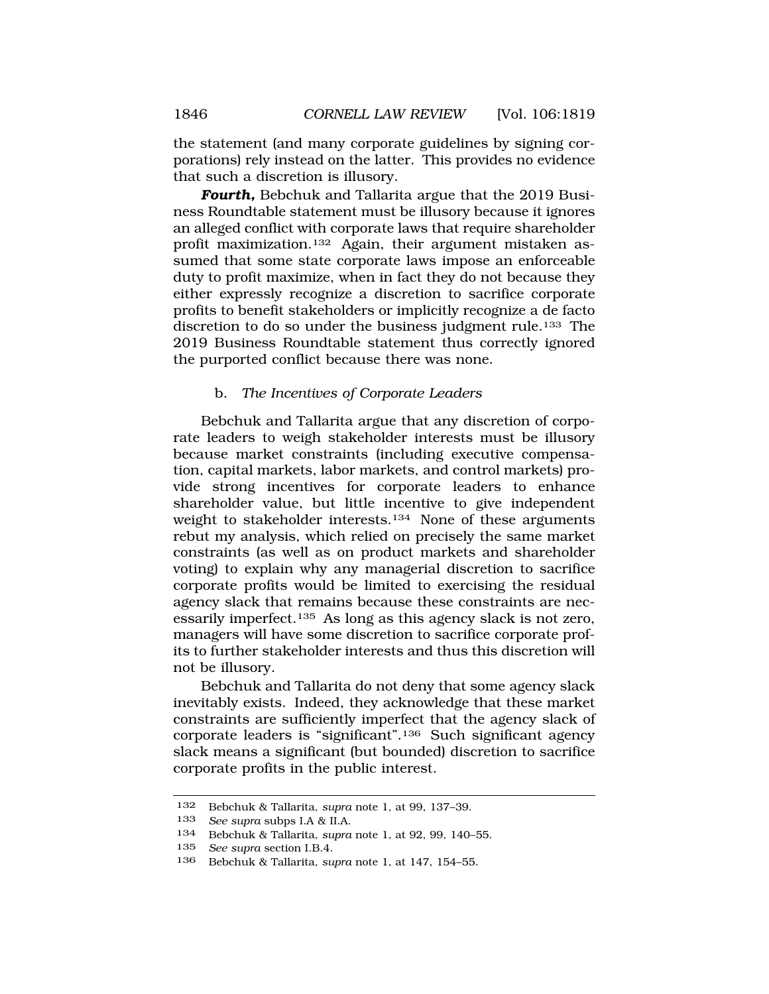the statement (and many corporate guidelines by signing corporations) rely instead on the latter. This provides no evidence that such a discretion is illusory.

*Fourth,* Bebchuk and Tallarita argue that the 2019 Business Roundtable statement must be illusory because it ignores an alleged conflict with corporate laws that require shareholder profit maximization.132 Again, their argument mistaken assumed that some state corporate laws impose an enforceable duty to profit maximize, when in fact they do not because they either expressly recognize a discretion to sacrifice corporate profits to benefit stakeholders or implicitly recognize a de facto discretion to do so under the business judgment rule.133 The 2019 Business Roundtable statement thus correctly ignored the purported conflict because there was none.

### b. *The Incentives of Corporate Leaders*

Bebchuk and Tallarita argue that any discretion of corporate leaders to weigh stakeholder interests must be illusory because market constraints (including executive compensation, capital markets, labor markets, and control markets) provide strong incentives for corporate leaders to enhance shareholder value, but little incentive to give independent weight to stakeholder interests.<sup>134</sup> None of these arguments rebut my analysis, which relied on precisely the same market constraints (as well as on product markets and shareholder voting) to explain why any managerial discretion to sacrifice corporate profits would be limited to exercising the residual agency slack that remains because these constraints are necessarily imperfect.135 As long as this agency slack is not zero, managers will have some discretion to sacrifice corporate profits to further stakeholder interests and thus this discretion will not be illusory.

Bebchuk and Tallarita do not deny that some agency slack inevitably exists. Indeed, they acknowledge that these market constraints are sufficiently imperfect that the agency slack of corporate leaders is "significant".136 Such significant agency slack means a significant (but bounded) discretion to sacrifice corporate profits in the public interest.

<sup>132</sup> Bebchuk & Tallarita, *supra* note 1, at 99, 137–39.

<sup>133</sup> *See supra* subps I.A & II.A.

<sup>134</sup> Bebchuk & Tallarita, *supra* note 1, at 92, 99, 140–55.

<sup>135</sup> *See supra* section I.B.4.

<sup>136</sup> Bebchuk & Tallarita, *supra* note 1, at 147, 154–55.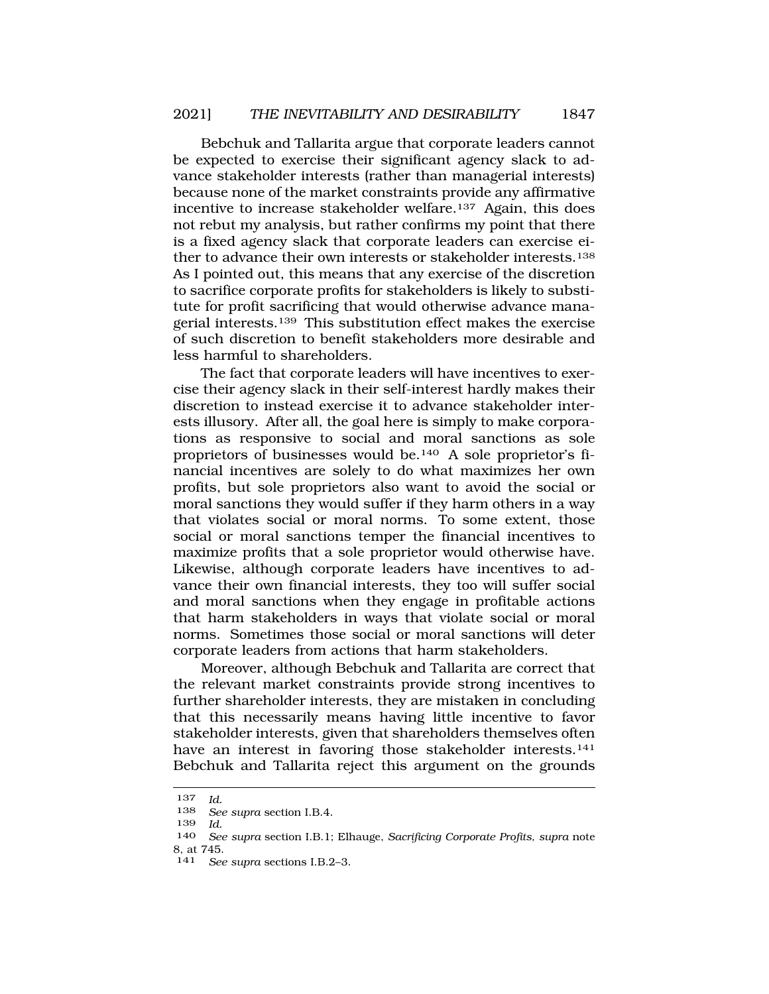Bebchuk and Tallarita argue that corporate leaders cannot be expected to exercise their significant agency slack to advance stakeholder interests (rather than managerial interests) because none of the market constraints provide any affirmative incentive to increase stakeholder welfare.137 Again, this does not rebut my analysis, but rather confirms my point that there is a fixed agency slack that corporate leaders can exercise either to advance their own interests or stakeholder interests.138 As I pointed out, this means that any exercise of the discretion to sacrifice corporate profits for stakeholders is likely to substitute for profit sacrificing that would otherwise advance managerial interests.139 This substitution effect makes the exercise of such discretion to benefit stakeholders more desirable and less harmful to shareholders.

The fact that corporate leaders will have incentives to exercise their agency slack in their self-interest hardly makes their discretion to instead exercise it to advance stakeholder interests illusory. After all, the goal here is simply to make corporations as responsive to social and moral sanctions as sole proprietors of businesses would be.140 A sole proprietor's financial incentives are solely to do what maximizes her own profits, but sole proprietors also want to avoid the social or moral sanctions they would suffer if they harm others in a way that violates social or moral norms. To some extent, those social or moral sanctions temper the financial incentives to maximize profits that a sole proprietor would otherwise have. Likewise, although corporate leaders have incentives to advance their own financial interests, they too will suffer social and moral sanctions when they engage in profitable actions that harm stakeholders in ways that violate social or moral norms. Sometimes those social or moral sanctions will deter corporate leaders from actions that harm stakeholders.

Moreover, although Bebchuk and Tallarita are correct that the relevant market constraints provide strong incentives to further shareholder interests, they are mistaken in concluding that this necessarily means having little incentive to favor stakeholder interests, given that shareholders themselves often have an interest in favoring those stakeholder interests.<sup>141</sup> Bebchuk and Tallarita reject this argument on the grounds

<sup>137</sup> *Id.* 

<sup>138</sup> *See supra* section I.B.4.

<sup>139</sup> *Id.* 

<sup>140</sup> *See supra* section I.B.1; Elhauge, *Sacrificing Corporate Profits, supra* note 8, at 745.

<sup>141</sup> *See supra* sections I.B.2–3.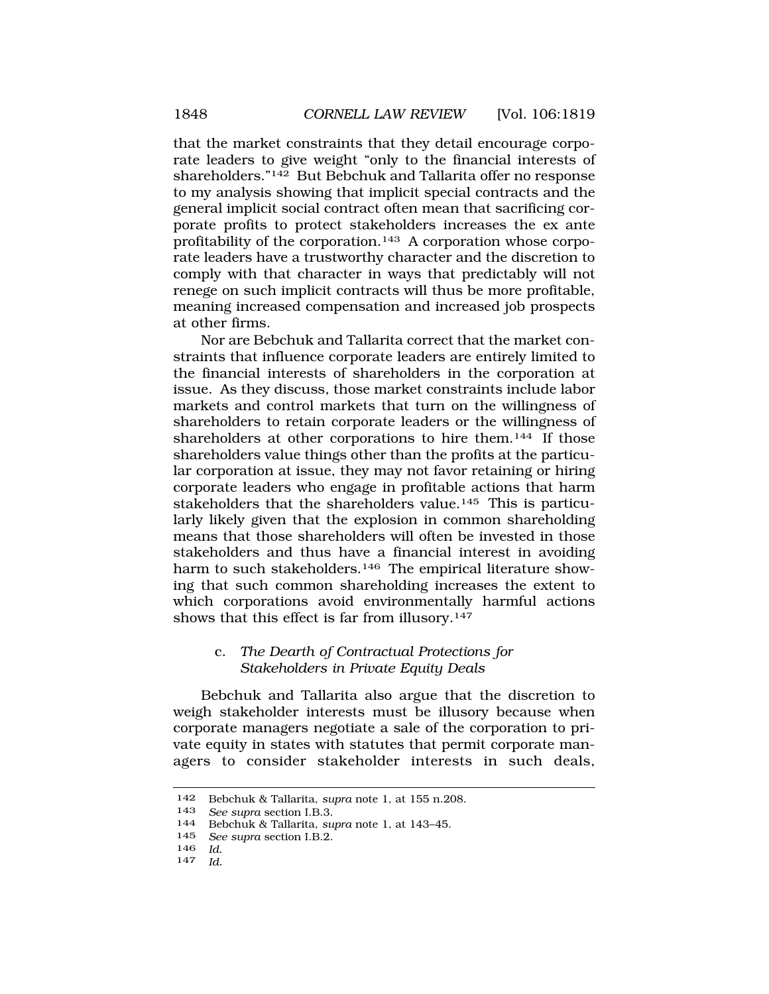that the market constraints that they detail encourage corporate leaders to give weight "only to the financial interests of shareholders."142 But Bebchuk and Tallarita offer no response to my analysis showing that implicit special contracts and the general implicit social contract often mean that sacrificing corporate profits to protect stakeholders increases the ex ante profitability of the corporation.143 A corporation whose corporate leaders have a trustworthy character and the discretion to comply with that character in ways that predictably will not renege on such implicit contracts will thus be more profitable, meaning increased compensation and increased job prospects at other firms.

Nor are Bebchuk and Tallarita correct that the market constraints that influence corporate leaders are entirely limited to the financial interests of shareholders in the corporation at issue. As they discuss, those market constraints include labor markets and control markets that turn on the willingness of shareholders to retain corporate leaders or the willingness of shareholders at other corporations to hire them.<sup>144</sup> If those shareholders value things other than the profits at the particular corporation at issue, they may not favor retaining or hiring corporate leaders who engage in profitable actions that harm stakeholders that the shareholders value.145 This is particularly likely given that the explosion in common shareholding means that those shareholders will often be invested in those stakeholders and thus have a financial interest in avoiding harm to such stakeholders.<sup>146</sup> The empirical literature showing that such common shareholding increases the extent to which corporations avoid environmentally harmful actions shows that this effect is far from illusory.147

### c. *The Dearth of Contractual Protections for Stakeholders in Private Equity Deals*

Bebchuk and Tallarita also argue that the discretion to weigh stakeholder interests must be illusory because when corporate managers negotiate a sale of the corporation to private equity in states with statutes that permit corporate managers to consider stakeholder interests in such deals,

<sup>142</sup> Bebchuk & Tallarita, *supra* note 1, at 155 n.208.

<sup>143</sup>*See supra* section I.B.3. 144 Bebchuk & Tallarita, *supra* note 1, at 143–45.

<sup>145</sup> *See supra* section I.B.2.

<sup>146</sup>*Id.* 147 *Id.*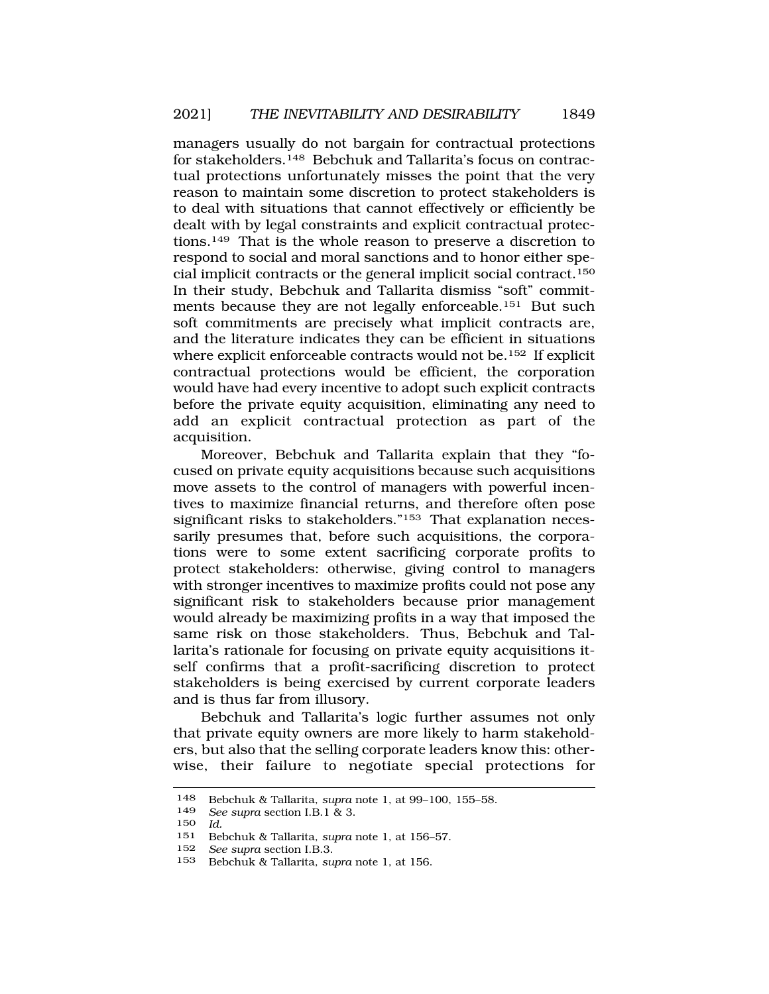managers usually do not bargain for contractual protections for stakeholders.148 Bebchuk and Tallarita's focus on contractual protections unfortunately misses the point that the very reason to maintain some discretion to protect stakeholders is to deal with situations that cannot effectively or efficiently be dealt with by legal constraints and explicit contractual protections.149 That is the whole reason to preserve a discretion to respond to social and moral sanctions and to honor either special implicit contracts or the general implicit social contract.150 In their study, Bebchuk and Tallarita dismiss "soft" commitments because they are not legally enforceable.<sup>151</sup> But such soft commitments are precisely what implicit contracts are, and the literature indicates they can be efficient in situations where explicit enforceable contracts would not be.<sup>152</sup> If explicit contractual protections would be efficient, the corporation would have had every incentive to adopt such explicit contracts before the private equity acquisition, eliminating any need to add an explicit contractual protection as part of the acquisition.

Moreover, Bebchuk and Tallarita explain that they "focused on private equity acquisitions because such acquisitions move assets to the control of managers with powerful incentives to maximize financial returns, and therefore often pose significant risks to stakeholders."<sup>153</sup> That explanation necessarily presumes that, before such acquisitions, the corporations were to some extent sacrificing corporate profits to protect stakeholders: otherwise, giving control to managers with stronger incentives to maximize profits could not pose any significant risk to stakeholders because prior management would already be maximizing profits in a way that imposed the same risk on those stakeholders. Thus, Bebchuk and Tallarita's rationale for focusing on private equity acquisitions itself confirms that a profit-sacrificing discretion to protect stakeholders is being exercised by current corporate leaders and is thus far from illusory.

Bebchuk and Tallarita's logic further assumes not only that private equity owners are more likely to harm stakeholders, but also that the selling corporate leaders know this: otherwise, their failure to negotiate special protections for

<sup>148</sup> Bebchuk & Tallarita, *supra* note 1, at 99–100, 155–58.

<sup>149</sup> *See supra* section I.B.1 & 3.

<sup>150</sup> *Id.* 

<sup>151</sup> Bebchuk & Tallarita, *supra* note 1, at 156–57.

<sup>152</sup> *See supra* section I.B.3.

<sup>153</sup> Bebchuk & Tallarita, *supra* note 1, at 156.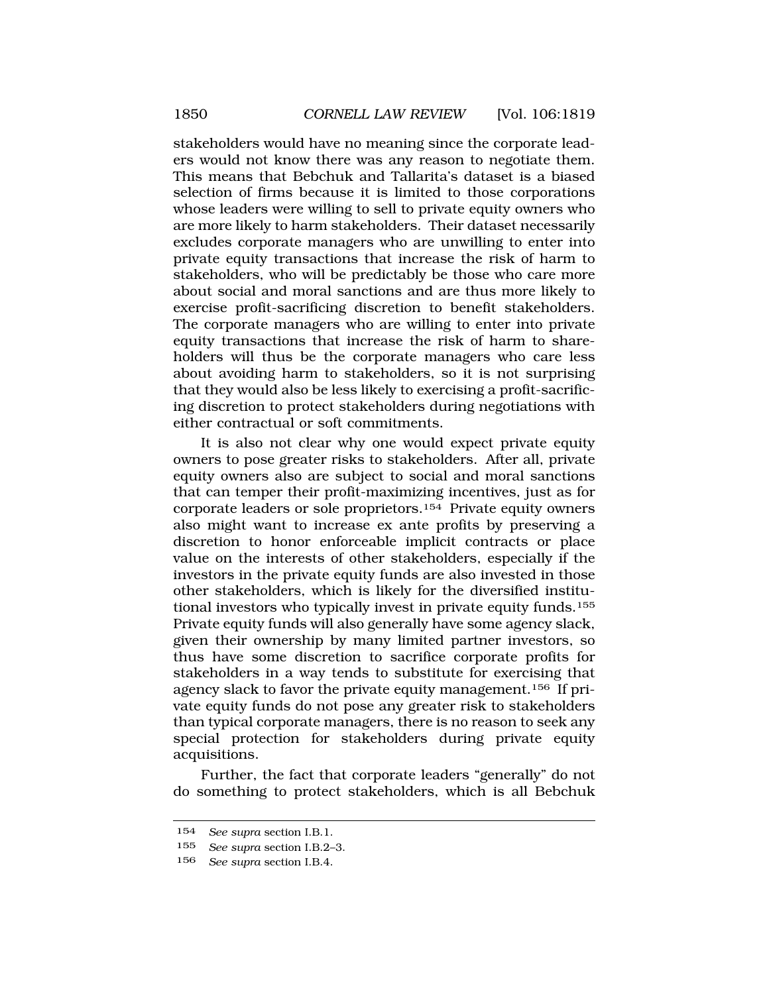stakeholders would have no meaning since the corporate leaders would not know there was any reason to negotiate them. This means that Bebchuk and Tallarita's dataset is a biased selection of firms because it is limited to those corporations whose leaders were willing to sell to private equity owners who are more likely to harm stakeholders. Their dataset necessarily excludes corporate managers who are unwilling to enter into private equity transactions that increase the risk of harm to stakeholders, who will be predictably be those who care more about social and moral sanctions and are thus more likely to exercise profit-sacrificing discretion to benefit stakeholders. The corporate managers who are willing to enter into private equity transactions that increase the risk of harm to shareholders will thus be the corporate managers who care less about avoiding harm to stakeholders, so it is not surprising that they would also be less likely to exercising a profit-sacrificing discretion to protect stakeholders during negotiations with either contractual or soft commitments.

It is also not clear why one would expect private equity owners to pose greater risks to stakeholders. After all, private equity owners also are subject to social and moral sanctions that can temper their profit-maximizing incentives, just as for corporate leaders or sole proprietors.<sup>154</sup> Private equity owners also might want to increase ex ante profits by preserving a discretion to honor enforceable implicit contracts or place value on the interests of other stakeholders, especially if the investors in the private equity funds are also invested in those other stakeholders, which is likely for the diversified institutional investors who typically invest in private equity funds.155 Private equity funds will also generally have some agency slack, given their ownership by many limited partner investors, so thus have some discretion to sacrifice corporate profits for stakeholders in a way tends to substitute for exercising that agency slack to favor the private equity management.156 If private equity funds do not pose any greater risk to stakeholders than typical corporate managers, there is no reason to seek any special protection for stakeholders during private equity acquisitions.

Further, the fact that corporate leaders "generally" do not do something to protect stakeholders, which is all Bebchuk

<sup>154</sup> *See supra* section I.B.1.

<sup>155</sup> *See supra* section I.B.2–3.

<sup>156</sup> *See supra* section I.B.4.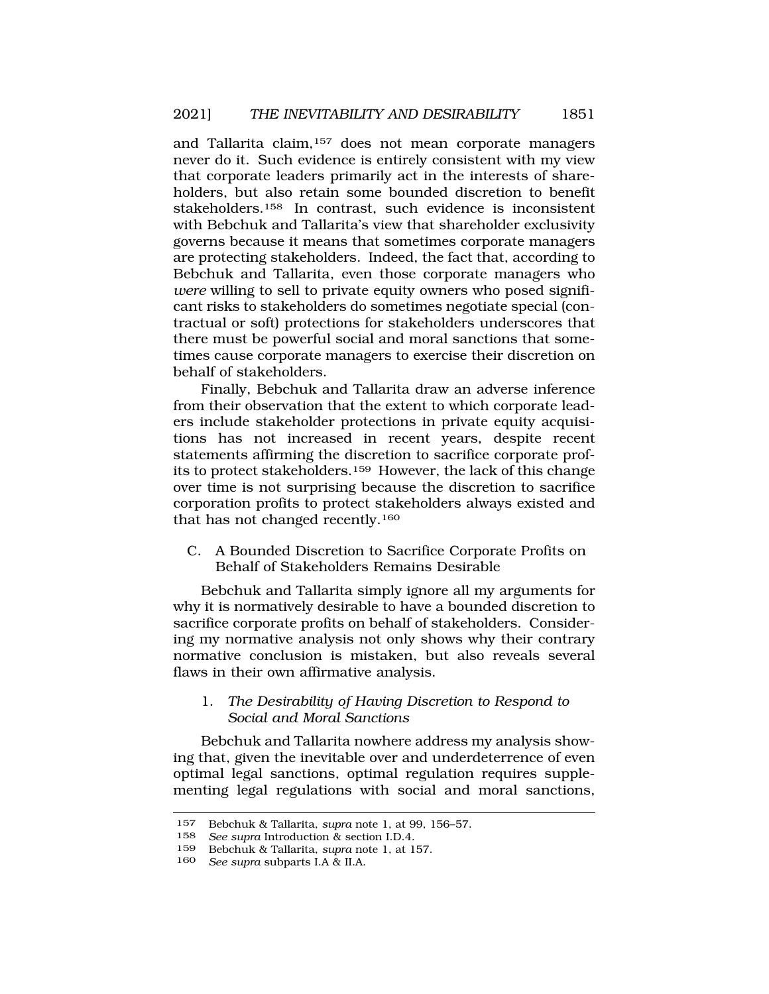and Tallarita claim,157 does not mean corporate managers never do it. Such evidence is entirely consistent with my view that corporate leaders primarily act in the interests of shareholders, but also retain some bounded discretion to benefit stakeholders.158 In contrast, such evidence is inconsistent with Bebchuk and Tallarita's view that shareholder exclusivity governs because it means that sometimes corporate managers are protecting stakeholders. Indeed, the fact that, according to Bebchuk and Tallarita, even those corporate managers who *were* willing to sell to private equity owners who posed significant risks to stakeholders do sometimes negotiate special (contractual or soft) protections for stakeholders underscores that there must be powerful social and moral sanctions that sometimes cause corporate managers to exercise their discretion on behalf of stakeholders.

Finally, Bebchuk and Tallarita draw an adverse inference from their observation that the extent to which corporate leaders include stakeholder protections in private equity acquisitions has not increased in recent years, despite recent statements affirming the discretion to sacrifice corporate profits to protect stakeholders.159 However, the lack of this change over time is not surprising because the discretion to sacrifice corporation profits to protect stakeholders always existed and that has not changed recently.160

C. A Bounded Discretion to Sacrifice Corporate Profits on Behalf of Stakeholders Remains Desirable

Bebchuk and Tallarita simply ignore all my arguments for why it is normatively desirable to have a bounded discretion to sacrifice corporate profits on behalf of stakeholders. Considering my normative analysis not only shows why their contrary normative conclusion is mistaken, but also reveals several flaws in their own affirmative analysis.

### 1. *The Desirability of Having Discretion to Respond to Social and Moral Sanctions*

Bebchuk and Tallarita nowhere address my analysis showing that, given the inevitable over and underdeterrence of even optimal legal sanctions, optimal regulation requires supplementing legal regulations with social and moral sanctions,

<sup>157</sup> Bebchuk & Tallarita, *supra* note 1, at 99, 156–57.

<sup>158</sup> *See supra* Introduction & section I.D.4.

<sup>159</sup> Bebchuk & Tallarita, *supra* note 1, at 157.

<sup>160</sup> *See supra* subparts I.A & II.A.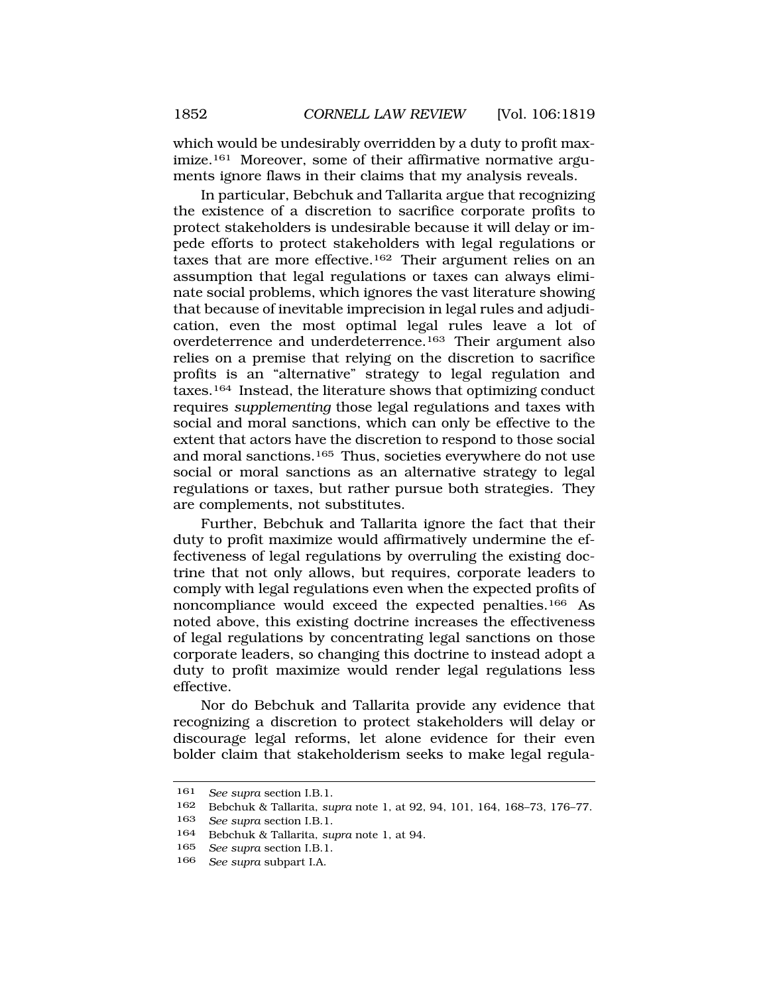which would be undesirably overridden by a duty to profit maximize.161 Moreover, some of their affirmative normative arguments ignore flaws in their claims that my analysis reveals.

In particular, Bebchuk and Tallarita argue that recognizing the existence of a discretion to sacrifice corporate profits to protect stakeholders is undesirable because it will delay or impede efforts to protect stakeholders with legal regulations or taxes that are more effective.<sup>162</sup> Their argument relies on an assumption that legal regulations or taxes can always eliminate social problems, which ignores the vast literature showing that because of inevitable imprecision in legal rules and adjudication, even the most optimal legal rules leave a lot of overdeterrence and underdeterrence.163 Their argument also relies on a premise that relying on the discretion to sacrifice profits is an "alternative" strategy to legal regulation and taxes.164 Instead, the literature shows that optimizing conduct requires *supplementing* those legal regulations and taxes with social and moral sanctions, which can only be effective to the extent that actors have the discretion to respond to those social and moral sanctions.165 Thus, societies everywhere do not use social or moral sanctions as an alternative strategy to legal regulations or taxes, but rather pursue both strategies. They are complements, not substitutes.

Further, Bebchuk and Tallarita ignore the fact that their duty to profit maximize would affirmatively undermine the effectiveness of legal regulations by overruling the existing doctrine that not only allows, but requires, corporate leaders to comply with legal regulations even when the expected profits of noncompliance would exceed the expected penalties.166 As noted above, this existing doctrine increases the effectiveness of legal regulations by concentrating legal sanctions on those corporate leaders, so changing this doctrine to instead adopt a duty to profit maximize would render legal regulations less effective.

Nor do Bebchuk and Tallarita provide any evidence that recognizing a discretion to protect stakeholders will delay or discourage legal reforms, let alone evidence for their even bolder claim that stakeholderism seeks to make legal regula-

<sup>161</sup> *See supra* section I.B.1.

<sup>162</sup> Bebchuk & Tallarita, *supra* note 1, at 92, 94, 101, 164, 168–73, 176–77.

<sup>163</sup> *See supra* section I.B.1.

<sup>164</sup> Bebchuk & Tallarita, *supra* note 1, at 94.

<sup>165</sup> *See supra* section I.B.1.

<sup>166</sup> *See supra* subpart I.A.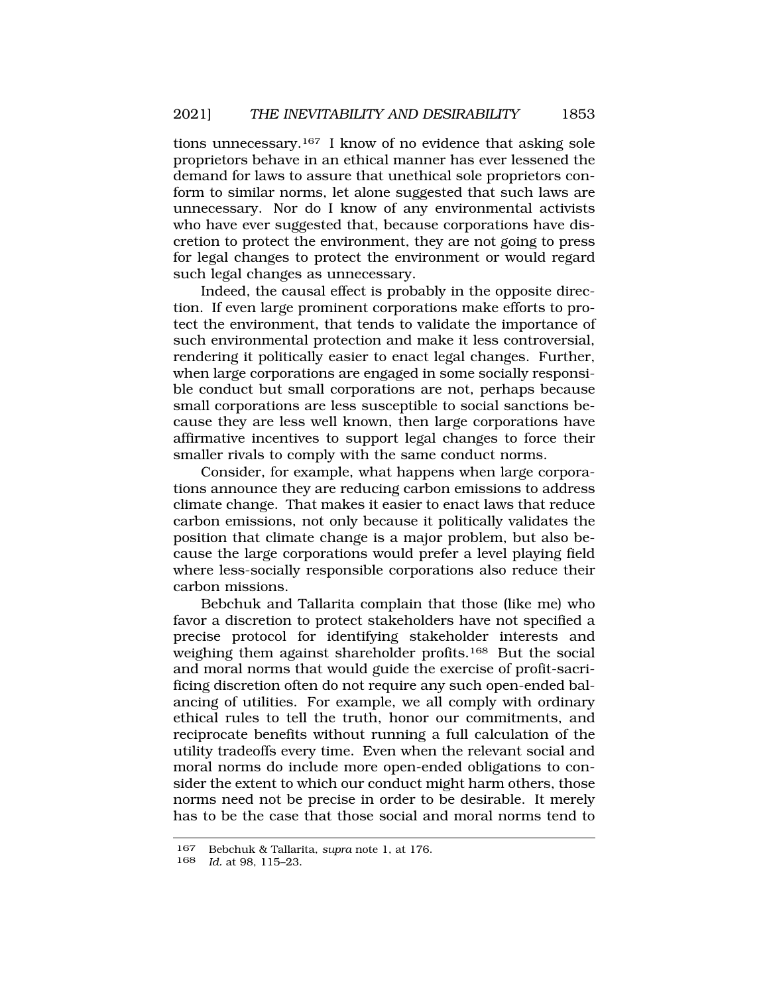tions unnecessary.167 I know of no evidence that asking sole proprietors behave in an ethical manner has ever lessened the demand for laws to assure that unethical sole proprietors conform to similar norms, let alone suggested that such laws are unnecessary. Nor do I know of any environmental activists who have ever suggested that, because corporations have discretion to protect the environment, they are not going to press for legal changes to protect the environment or would regard such legal changes as unnecessary.

Indeed, the causal effect is probably in the opposite direction. If even large prominent corporations make efforts to protect the environment, that tends to validate the importance of such environmental protection and make it less controversial, rendering it politically easier to enact legal changes. Further, when large corporations are engaged in some socially responsible conduct but small corporations are not, perhaps because small corporations are less susceptible to social sanctions because they are less well known, then large corporations have affirmative incentives to support legal changes to force their smaller rivals to comply with the same conduct norms.

Consider, for example, what happens when large corporations announce they are reducing carbon emissions to address climate change. That makes it easier to enact laws that reduce carbon emissions, not only because it politically validates the position that climate change is a major problem, but also because the large corporations would prefer a level playing field where less-socially responsible corporations also reduce their carbon missions.

Bebchuk and Tallarita complain that those (like me) who favor a discretion to protect stakeholders have not specified a precise protocol for identifying stakeholder interests and weighing them against shareholder profits.<sup>168</sup> But the social and moral norms that would guide the exercise of profit-sacrificing discretion often do not require any such open-ended balancing of utilities. For example, we all comply with ordinary ethical rules to tell the truth, honor our commitments, and reciprocate benefits without running a full calculation of the utility tradeoffs every time. Even when the relevant social and moral norms do include more open-ended obligations to consider the extent to which our conduct might harm others, those norms need not be precise in order to be desirable. It merely has to be the case that those social and moral norms tend to

<sup>167</sup> Bebchuk & Tallarita, *supra* note 1, at 176.

<sup>168</sup> *Id.* at 98, 115–23.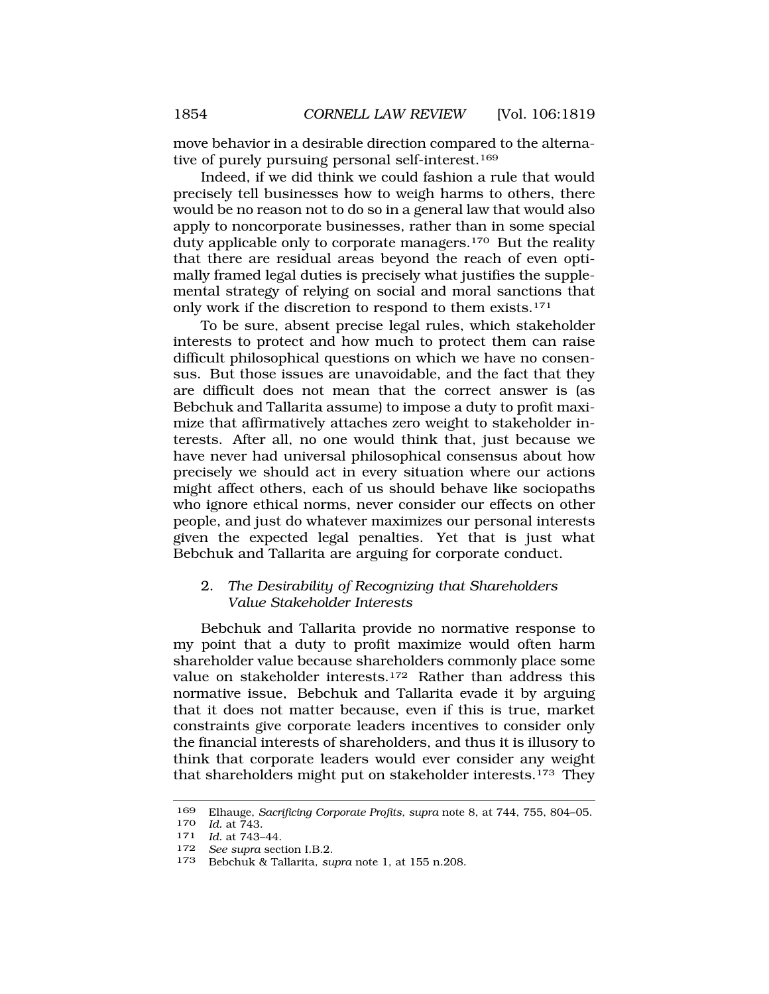tive of purely pursuing personal self-interest.<sup>169</sup> Indeed, if we did think we could fashion a rule that would precisely tell businesses how to weigh harms to others, there would be no reason not to do so in a general law that would also apply to noncorporate businesses, rather than in some special duty applicable only to corporate managers.170 But the reality that there are residual areas beyond the reach of even optimally framed legal duties is precisely what justifies the supplemental strategy of relying on social and moral sanctions that only work if the discretion to respond to them exists.171

To be sure, absent precise legal rules, which stakeholder interests to protect and how much to protect them can raise difficult philosophical questions on which we have no consensus. But those issues are unavoidable, and the fact that they are difficult does not mean that the correct answer is (as Bebchuk and Tallarita assume) to impose a duty to profit maximize that affirmatively attaches zero weight to stakeholder interests. After all, no one would think that, just because we have never had universal philosophical consensus about how precisely we should act in every situation where our actions might affect others, each of us should behave like sociopaths who ignore ethical norms, never consider our effects on other people, and just do whatever maximizes our personal interests given the expected legal penalties. Yet that is just what Bebchuk and Tallarita are arguing for corporate conduct.

### 2. *The Desirability of Recognizing that Shareholders Value Stakeholder Interests*

Bebchuk and Tallarita provide no normative response to my point that a duty to profit maximize would often harm shareholder value because shareholders commonly place some value on stakeholder interests.<sup>172</sup> Rather than address this normative issue, Bebchuk and Tallarita evade it by arguing that it does not matter because, even if this is true, market constraints give corporate leaders incentives to consider only the financial interests of shareholders, and thus it is illusory to think that corporate leaders would ever consider any weight that shareholders might put on stakeholder interests.173 They

<sup>169</sup> Elhauge, *Sacrificing Corporate Profits, supra* note 8, at 744, 755, 804–05.

<sup>170</sup>*Id.* at 743. 171 *Id.* at 743–44.

See supra section I.B.2.

<sup>173</sup> Bebchuk & Tallarita, *supra* note 1, at 155 n.208.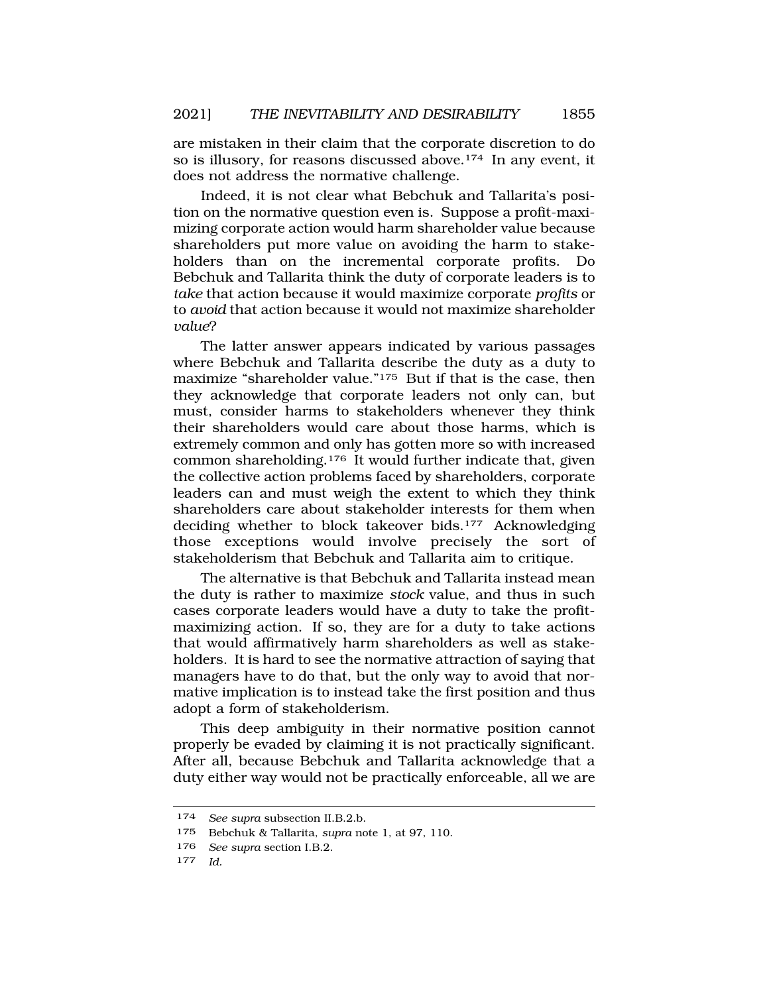are mistaken in their claim that the corporate discretion to do so is illusory, for reasons discussed above.174 In any event, it does not address the normative challenge.

Indeed, it is not clear what Bebchuk and Tallarita's position on the normative question even is. Suppose a profit-maximizing corporate action would harm shareholder value because shareholders put more value on avoiding the harm to stakeholders than on the incremental corporate profits. Do Bebchuk and Tallarita think the duty of corporate leaders is to *take* that action because it would maximize corporate *profits* or to *avoid* that action because it would not maximize shareholder *value*?

The latter answer appears indicated by various passages where Bebchuk and Tallarita describe the duty as a duty to maximize "shareholder value."175 But if that is the case, then they acknowledge that corporate leaders not only can, but must, consider harms to stakeholders whenever they think their shareholders would care about those harms, which is extremely common and only has gotten more so with increased common shareholding.176 It would further indicate that, given the collective action problems faced by shareholders, corporate leaders can and must weigh the extent to which they think shareholders care about stakeholder interests for them when deciding whether to block takeover bids.177 Acknowledging those exceptions would involve precisely the sort of stakeholderism that Bebchuk and Tallarita aim to critique.

The alternative is that Bebchuk and Tallarita instead mean the duty is rather to maximize *stock* value, and thus in such cases corporate leaders would have a duty to take the profitmaximizing action. If so, they are for a duty to take actions that would affirmatively harm shareholders as well as stakeholders. It is hard to see the normative attraction of saying that managers have to do that, but the only way to avoid that normative implication is to instead take the first position and thus adopt a form of stakeholderism.

This deep ambiguity in their normative position cannot properly be evaded by claiming it is not practically significant. After all, because Bebchuk and Tallarita acknowledge that a duty either way would not be practically enforceable, all we are

<sup>174</sup> *See supra* subsection II.B.2.b.

<sup>175</sup> Bebchuk & Tallarita, *supra* note 1, at 97, 110.

<sup>176</sup> *See supra* section I.B.2.

<sup>177</sup> *Id.*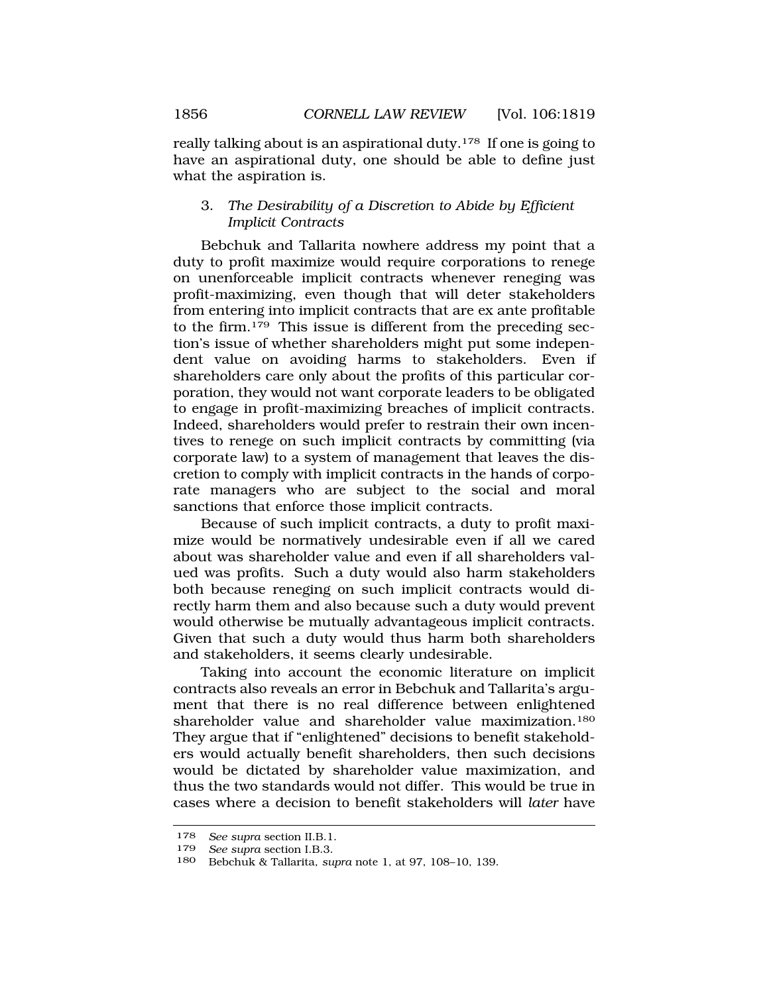really talking about is an aspirational duty.178 If one is going to have an aspirational duty, one should be able to define just what the aspiration is.

## 3. *The Desirability of a Discretion to Abide by Efficient Implicit Contracts*

Bebchuk and Tallarita nowhere address my point that a duty to profit maximize would require corporations to renege on unenforceable implicit contracts whenever reneging was profit-maximizing, even though that will deter stakeholders from entering into implicit contracts that are ex ante profitable to the firm.179 This issue is different from the preceding section's issue of whether shareholders might put some independent value on avoiding harms to stakeholders. Even if shareholders care only about the profits of this particular corporation, they would not want corporate leaders to be obligated to engage in profit-maximizing breaches of implicit contracts. Indeed, shareholders would prefer to restrain their own incentives to renege on such implicit contracts by committing (via corporate law) to a system of management that leaves the discretion to comply with implicit contracts in the hands of corporate managers who are subject to the social and moral sanctions that enforce those implicit contracts.

Because of such implicit contracts, a duty to profit maximize would be normatively undesirable even if all we cared about was shareholder value and even if all shareholders valued was profits. Such a duty would also harm stakeholders both because reneging on such implicit contracts would directly harm them and also because such a duty would prevent would otherwise be mutually advantageous implicit contracts. Given that such a duty would thus harm both shareholders and stakeholders, it seems clearly undesirable.

Taking into account the economic literature on implicit contracts also reveals an error in Bebchuk and Tallarita's argument that there is no real difference between enlightened shareholder value and shareholder value maximization.<sup>180</sup> They argue that if "enlightened" decisions to benefit stakeholders would actually benefit shareholders, then such decisions would be dictated by shareholder value maximization, and thus the two standards would not differ. This would be true in cases where a decision to benefit stakeholders will *later* have

<sup>178</sup> *See supra* section II.B.1.

<sup>179</sup> *See supra* section I.B.3.

<sup>180</sup> Bebchuk & Tallarita, *supra* note 1, at 97, 108–10, 139.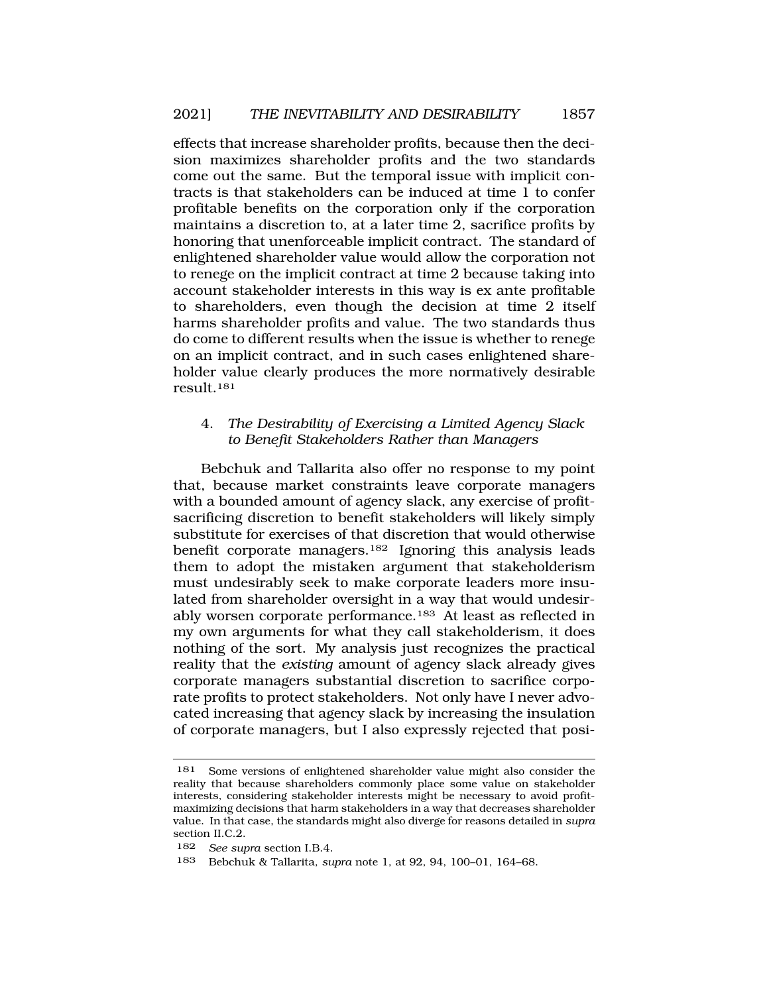effects that increase shareholder profits, because then the decision maximizes shareholder profits and the two standards come out the same. But the temporal issue with implicit contracts is that stakeholders can be induced at time 1 to confer profitable benefits on the corporation only if the corporation maintains a discretion to, at a later time 2, sacrifice profits by honoring that unenforceable implicit contract. The standard of enlightened shareholder value would allow the corporation not to renege on the implicit contract at time 2 because taking into account stakeholder interests in this way is ex ante profitable to shareholders, even though the decision at time 2 itself harms shareholder profits and value. The two standards thus do come to different results when the issue is whether to renege on an implicit contract, and in such cases enlightened shareholder value clearly produces the more normatively desirable result.181

#### 4. *The Desirability of Exercising a Limited Agency Slack to Benefit Stakeholders Rather than Managers*

Bebchuk and Tallarita also offer no response to my point that, because market constraints leave corporate managers with a bounded amount of agency slack, any exercise of profitsacrificing discretion to benefit stakeholders will likely simply substitute for exercises of that discretion that would otherwise benefit corporate managers.182 Ignoring this analysis leads them to adopt the mistaken argument that stakeholderism must undesirably seek to make corporate leaders more insulated from shareholder oversight in a way that would undesirably worsen corporate performance.<sup>183</sup> At least as reflected in my own arguments for what they call stakeholderism, it does nothing of the sort. My analysis just recognizes the practical reality that the *existing* amount of agency slack already gives corporate managers substantial discretion to sacrifice corporate profits to protect stakeholders. Not only have I never advocated increasing that agency slack by increasing the insulation of corporate managers, but I also expressly rejected that posi-

<sup>181</sup> Some versions of enlightened shareholder value might also consider the reality that because shareholders commonly place some value on stakeholder interests, considering stakeholder interests might be necessary to avoid profitmaximizing decisions that harm stakeholders in a way that decreases shareholder value. In that case, the standards might also diverge for reasons detailed in *supra*  section II.C.2.

<sup>182</sup> *See supra* section I.B.4.

<sup>183</sup> Bebchuk & Tallarita, *supra* note 1, at 92, 94, 100–01, 164–68.